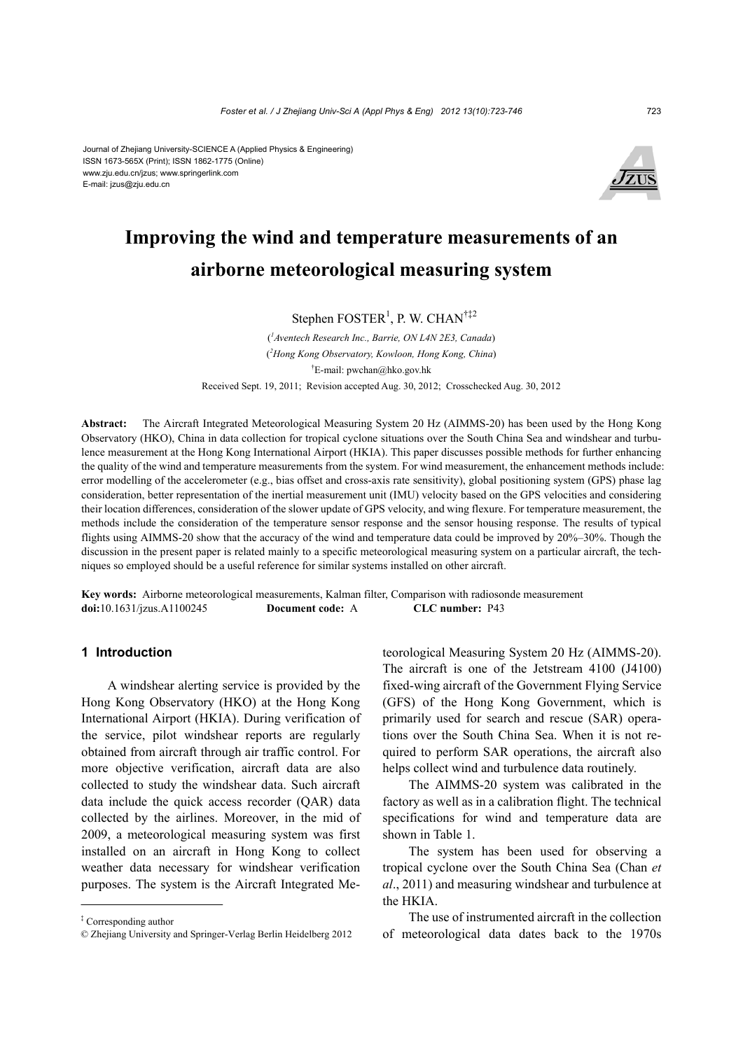Journal of Zhejiang University-SCIENCE A (Applied Physics & Engineering) ISSN 1673-565X (Print); ISSN 1862-1775 (Online) www.zju.edu.cn/jzus; www.springerlink.com E-mail: jzus@zju.edu.cn



# **Improving the wind and temperature measurements of an airborne meteorological measuring system**

Stephen  $FOSTER<sup>1</sup>$ , P. W. CHAN<sup>†‡2</sup>

( *1 Aventech Research Inc., Barrie, ON L4N 2E3, Canada*) ( *2 Hong Kong Observatory, Kowloon, Hong Kong, China*) † E-mail: pwchan@hko.gov.hk Received Sept. 19, 2011; Revision accepted Aug. 30, 2012; Crosschecked Aug. 30, 2012

**Abstract:** The Aircraft Integrated Meteorological Measuring System 20 Hz (AIMMS-20) has been used by the Hong Kong Observatory (HKO), China in data collection for tropical cyclone situations over the South China Sea and windshear and turbulence measurement at the Hong Kong International Airport (HKIA). This paper discusses possible methods for further enhancing the quality of the wind and temperature measurements from the system. For wind measurement, the enhancement methods include: error modelling of the accelerometer (e.g., bias offset and cross-axis rate sensitivity), global positioning system (GPS) phase lag consideration, better representation of the inertial measurement unit (IMU) velocity based on the GPS velocities and considering their location differences, consideration of the slower update of GPS velocity, and wing flexure. For temperature measurement, the methods include the consideration of the temperature sensor response and the sensor housing response. The results of typical flights using AIMMS-20 show that the accuracy of the wind and temperature data could be improved by 20%–30%. Though the discussion in the present paper is related mainly to a specific meteorological measuring system on a particular aircraft, the techniques so employed should be a useful reference for similar systems installed on other aircraft.

**Key words:** Airborne meteorological measurements, Kalman filter, Comparison with radiosonde measurement **doi:**10.1631/jzus.A1100245 **Document code:** A **CLC number:** P43

# **1 Introduction**

A windshear alerting service is provided by the Hong Kong Observatory (HKO) at the Hong Kong International Airport (HKIA). During verification of the service, pilot windshear reports are regularly obtained from aircraft through air traffic control. For more objective verification, aircraft data are also collected to study the windshear data. Such aircraft data include the quick access recorder (QAR) data collected by the airlines. Moreover, in the mid of 2009, a meteorological measuring system was first installed on an aircraft in Hong Kong to collect weather data necessary for windshear verification purposes. The system is the Aircraft Integrated Me-

teorological Measuring System 20 Hz (AIMMS-20). The aircraft is one of the Jetstream 4100 (J4100) fixed-wing aircraft of the Government Flying Service (GFS) of the Hong Kong Government, which is primarily used for search and rescue (SAR) operations over the South China Sea. When it is not required to perform SAR operations, the aircraft also helps collect wind and turbulence data routinely.

The AIMMS-20 system was calibrated in the factory as well as in a calibration flight. The technical specifications for wind and temperature data are shown in Table 1.

The system has been used for observing a tropical cyclone over the South China Sea (Chan *et al*., 2011) and measuring windshear and turbulence at the HKIA.

The use of instrumented aircraft in the collection of meteorological data dates back to the 1970s

<sup>‡</sup> Corresponding author

<sup>©</sup> Zhejiang University and Springer-Verlag Berlin Heidelberg 2012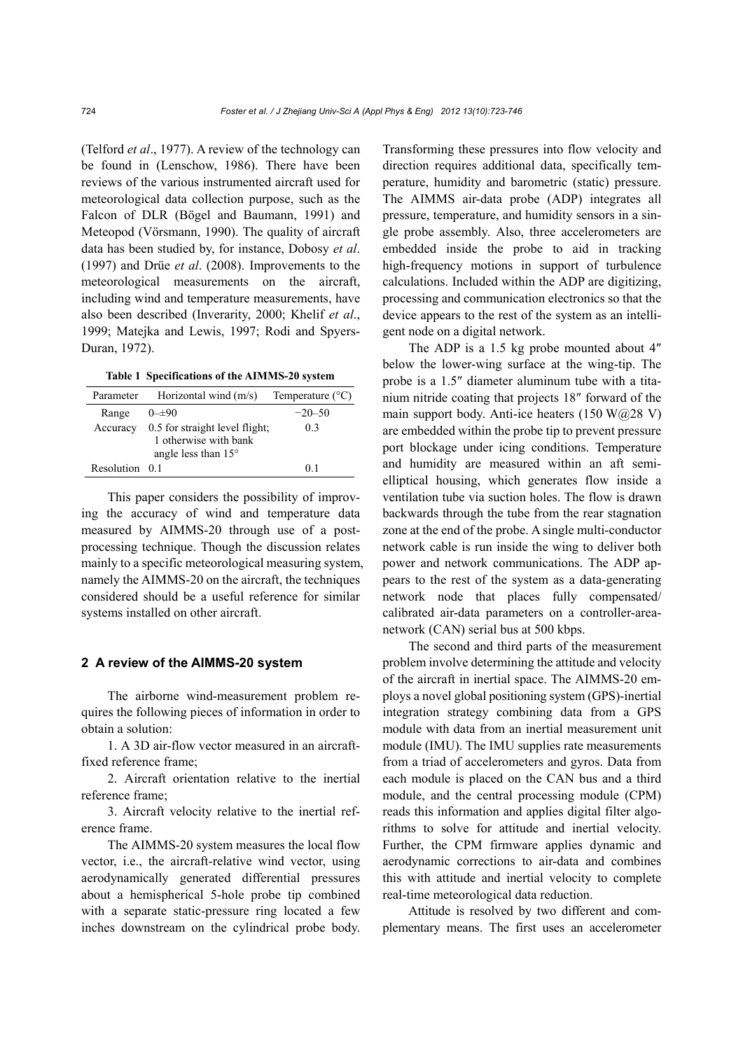(Telford *et al*., 1977). A review of the technology can be found in (Lenschow, 1986). There have been reviews of the various instrumented aircraft used for meteorological data collection purpose, such as the Falcon of DLR (Bögel and Baumann, 1991) and Meteopod (Vörsmann, 1990). The quality of aircraft data has been studied by, for instance, Dobosy *et al*. (1997) and Drüe *et al*. (2008). Improvements to the meteorological measurements on the aircraft, including wind and temperature measurements, have also been described (Inverarity, 2000; Khelif *et al*., 1999; Matejka and Lewis, 1997; Rodi and Spyers-Duran, 1972).

**Table 1 Specifications of the AIMMS-20 system** 

| Parameter      | Horizontal wind $(m/s)$                                                                 | Temperature $(^{\circ}C)$ |
|----------------|-----------------------------------------------------------------------------------------|---------------------------|
| Range          | $0 - \pm 90$                                                                            | $-20 - 50$                |
| Accuracy       | 0.5 for straight level flight;<br>1 otherwise with bank<br>angle less than $15^{\circ}$ | 03                        |
| Resolution 0.1 |                                                                                         | 01                        |

This paper considers the possibility of improving the accuracy of wind and temperature data measured by AIMMS-20 through use of a postprocessing technique. Though the discussion relates mainly to a specific meteorological measuring system, namely the AIMMS-20 on the aircraft, the techniques considered should be a useful reference for similar systems installed on other aircraft.

#### **2 A review of the AIMMS-20 system**

The airborne wind-measurement problem requires the following pieces of information in order to obtain a solution:

1. A 3D air-flow vector measured in an aircraftfixed reference frame;

2. Aircraft orientation relative to the inertial reference frame;

3. Aircraft velocity relative to the inertial reference frame.

The AIMMS-20 system measures the local flow vector, i.e., the aircraft-relative wind vector, using aerodynamically generated differential pressures about a hemispherical 5-hole probe tip combined with a separate static-pressure ring located a few inches downstream on the cylindrical probe body.

Transforming these pressures into flow velocity and direction requires additional data, specifically temperature, humidity and barometric (static) pressure. The AIMMS air-data probe (ADP) integrates all pressure, temperature, and humidity sensors in a single probe assembly. Also, three accelerometers are embedded inside the probe to aid in tracking high-frequency motions in support of turbulence calculations. Included within the ADP are digitizing, processing and communication electronics so that the device appears to the rest of the system as an intelligent node on a digital network.

The ADP is a 1.5 kg probe mounted about 4" below the lower-wing surface at the wing-tip. The probe is a 1.5″ diameter aluminum tube with a titanium nitride coating that projects 18″ forward of the main support body. Anti-ice heaters  $(150 W@28 V)$ are embedded within the probe tip to prevent pressure port blockage under icing conditions. Temperature and humidity are measured within an aft semielliptical housing, which generates flow inside a ventilation tube via suction holes. The flow is drawn backwards through the tube from the rear stagnation zone at the end of the probe. A single multi-conductor network cable is run inside the wing to deliver both power and network communications. The ADP appears to the rest of the system as a data-generating network node that places fully compensated/ calibrated air-data parameters on a controller-areanetwork (CAN) serial bus at 500 kbps.

The second and third parts of the measurement problem involve determining the attitude and velocity of the aircraft in inertial space. The AIMMS-20 employs a novel global positioning system (GPS)-inertial integration strategy combining data from a GPS module with data from an inertial measurement unit module (IMU). The IMU supplies rate measurements from a triad of accelerometers and gyros. Data from each module is placed on the CAN bus and a third module, and the central processing module (CPM) reads this information and applies digital filter algorithms to solve for attitude and inertial velocity. Further, the CPM firmware applies dynamic and aerodynamic corrections to air-data and combines this with attitude and inertial velocity to complete real-time meteorological data reduction.

Attitude is resolved by two different and complementary means. The first uses an accelerometer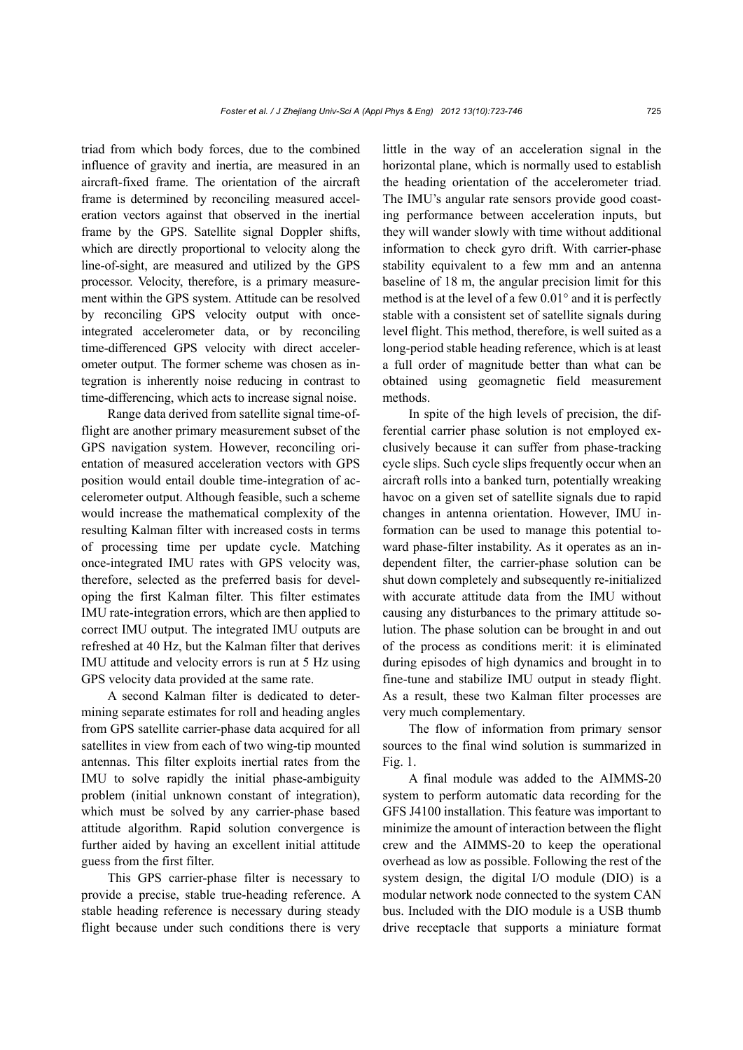triad from which body forces, due to the combined influence of gravity and inertia, are measured in an aircraft-fixed frame. The orientation of the aircraft frame is determined by reconciling measured acceleration vectors against that observed in the inertial frame by the GPS. Satellite signal Doppler shifts, which are directly proportional to velocity along the line-of-sight, are measured and utilized by the GPS processor. Velocity, therefore, is a primary measurement within the GPS system. Attitude can be resolved by reconciling GPS velocity output with onceintegrated accelerometer data, or by reconciling time-differenced GPS velocity with direct accelerometer output. The former scheme was chosen as integration is inherently noise reducing in contrast to time-differencing, which acts to increase signal noise.

Range data derived from satellite signal time-offlight are another primary measurement subset of the GPS navigation system. However, reconciling orientation of measured acceleration vectors with GPS position would entail double time-integration of accelerometer output. Although feasible, such a scheme would increase the mathematical complexity of the resulting Kalman filter with increased costs in terms of processing time per update cycle. Matching once-integrated IMU rates with GPS velocity was, therefore, selected as the preferred basis for developing the first Kalman filter. This filter estimates IMU rate-integration errors, which are then applied to correct IMU output. The integrated IMU outputs are refreshed at 40 Hz, but the Kalman filter that derives IMU attitude and velocity errors is run at 5 Hz using GPS velocity data provided at the same rate.

A second Kalman filter is dedicated to determining separate estimates for roll and heading angles from GPS satellite carrier-phase data acquired for all satellites in view from each of two wing-tip mounted antennas. This filter exploits inertial rates from the IMU to solve rapidly the initial phase-ambiguity problem (initial unknown constant of integration), which must be solved by any carrier-phase based attitude algorithm. Rapid solution convergence is further aided by having an excellent initial attitude guess from the first filter.

This GPS carrier-phase filter is necessary to provide a precise, stable true-heading reference. A stable heading reference is necessary during steady flight because under such conditions there is very

little in the way of an acceleration signal in the horizontal plane, which is normally used to establish the heading orientation of the accelerometer triad. The IMU's angular rate sensors provide good coasting performance between acceleration inputs, but they will wander slowly with time without additional information to check gyro drift. With carrier-phase stability equivalent to a few mm and an antenna baseline of 18 m, the angular precision limit for this method is at the level of a few 0.01° and it is perfectly stable with a consistent set of satellite signals during level flight. This method, therefore, is well suited as a long-period stable heading reference, which is at least a full order of magnitude better than what can be obtained using geomagnetic field measurement methods.

In spite of the high levels of precision, the differential carrier phase solution is not employed exclusively because it can suffer from phase-tracking cycle slips. Such cycle slips frequently occur when an aircraft rolls into a banked turn, potentially wreaking havoc on a given set of satellite signals due to rapid changes in antenna orientation. However, IMU information can be used to manage this potential toward phase-filter instability. As it operates as an independent filter, the carrier-phase solution can be shut down completely and subsequently re-initialized with accurate attitude data from the IMU without causing any disturbances to the primary attitude solution. The phase solution can be brought in and out of the process as conditions merit: it is eliminated during episodes of high dynamics and brought in to fine-tune and stabilize IMU output in steady flight. As a result, these two Kalman filter processes are very much complementary.

The flow of information from primary sensor sources to the final wind solution is summarized in Fig. 1.

A final module was added to the AIMMS-20 system to perform automatic data recording for the GFS J4100 installation. This feature was important to minimize the amount of interaction between the flight crew and the AIMMS-20 to keep the operational overhead as low as possible. Following the rest of the system design, the digital I/O module (DIO) is a modular network node connected to the system CAN bus. Included with the DIO module is a USB thumb drive receptacle that supports a miniature format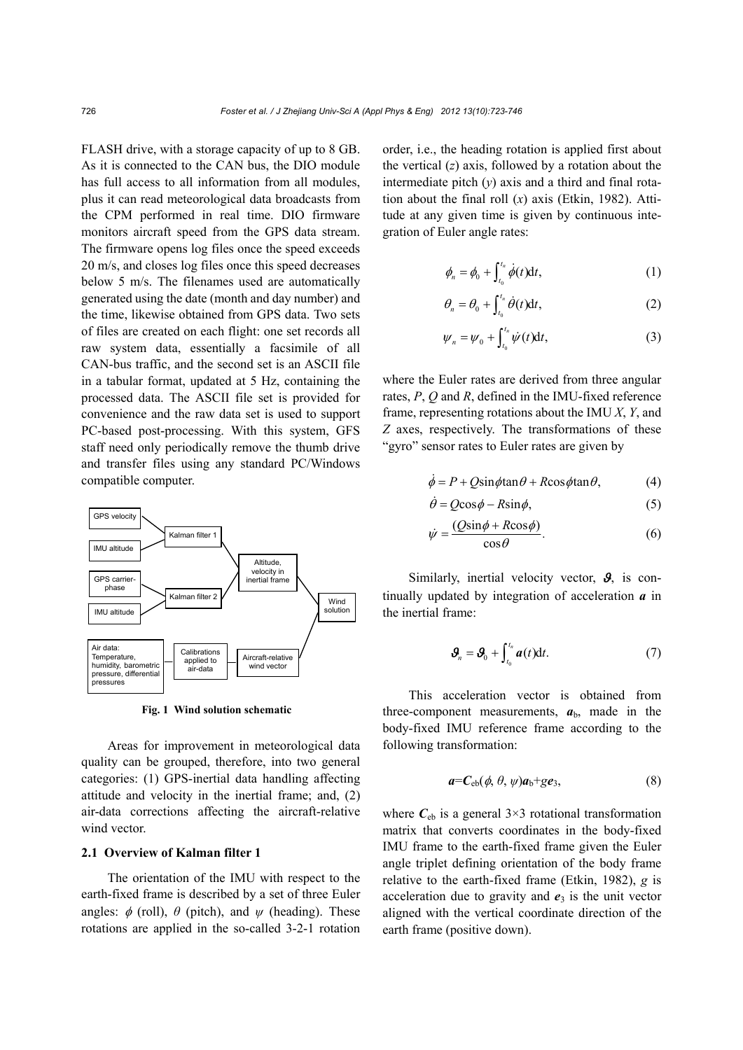FLASH drive, with a storage capacity of up to 8 GB. As it is connected to the CAN bus, the DIO module has full access to all information from all modules, plus it can read meteorological data broadcasts from the CPM performed in real time. DIO firmware monitors aircraft speed from the GPS data stream. The firmware opens log files once the speed exceeds 20 m/s, and closes log files once this speed decreases below 5 m/s. The filenames used are automatically generated using the date (month and day number) and the time, likewise obtained from GPS data. Two sets of files are created on each flight: one set records all raw system data, essentially a facsimile of all CAN-bus traffic, and the second set is an ASCII file in a tabular format, updated at 5 Hz, containing the processed data. The ASCII file set is provided for convenience and the raw data set is used to support PC-based post-processing. With this system, GFS staff need only periodically remove the thumb drive and transfer files using any standard PC/Windows compatible computer.



**Fig. 1 Wind solution schematic** 

Areas for improvement in meteorological data quality can be grouped, therefore, into two general categories: (1) GPS-inertial data handling affecting attitude and velocity in the inertial frame; and, (2) air-data corrections affecting the aircraft-relative wind vector.

# **2.1 Overview of Kalman filter 1**

The orientation of the IMU with respect to the earth-fixed frame is described by a set of three Euler angles:  $\phi$  (roll),  $\theta$  (pitch), and  $\psi$  (heading). These rotations are applied in the so-called 3-2-1 rotation order, i.e., the heading rotation is applied first about the vertical (*z*) axis, followed by a rotation about the intermediate pitch (*y*) axis and a third and final rotation about the final roll  $(x)$  axis (Etkin, 1982). Attitude at any given time is given by continuous integration of Euler angle rates:

$$
\phi_n = \phi_0 + \int_{t_0}^{t_n} \dot{\phi}(t) \mathrm{d}t,\tag{1}
$$

$$
\theta_n = \theta_0 + \int_{t_0}^{t_n} \dot{\theta}(t) \mathrm{d}t,\tag{2}
$$

$$
\psi_n = \psi_0 + \int_{t_0}^{t_n} \dot{\psi}(t) \mathrm{d}t,\tag{3}
$$

where the Euler rates are derived from three angular rates, *P*, *Q* and *R*, defined in the IMU-fixed reference frame, representing rotations about the IMU *X*, *Y*, and *Z* axes, respectively. The transformations of these "gyro" sensor rates to Euler rates are given by

$$
\dot{\phi} = P + Q\sin\phi\tan\theta + R\cos\phi\tan\theta, \tag{4}
$$

$$
\dot{\theta} = Q\cos\phi - R\sin\phi,\tag{5}
$$

$$
\dot{\psi} = \frac{(Q\sin\phi + R\cos\phi)}{\cos\theta}.
$$
\n(6)

Similarly, inertial velocity vector,  $\mathcal{G}$ , is continually updated by integration of acceleration *a* in the inertial frame:

$$
\mathbf{S}_n = \mathbf{S}_0 + \int_{t_0}^{t_n} \boldsymbol{a}(t) \mathrm{d}t. \tag{7}
$$

This acceleration vector is obtained from three-component measurements,  $a<sub>b</sub>$ , made in the body-fixed IMU reference frame according to the following transformation:

$$
a=C_{\rm eb}(\phi,\theta,\psi)a_{\rm b}+ge_3,\qquad\qquad(8)
$$

where  $C_{eb}$  is a general  $3\times3$  rotational transformation matrix that converts coordinates in the body-fixed IMU frame to the earth-fixed frame given the Euler angle triplet defining orientation of the body frame relative to the earth-fixed frame (Etkin, 1982), *g* is acceleration due to gravity and  $e_3$  is the unit vector aligned with the vertical coordinate direction of the earth frame (positive down).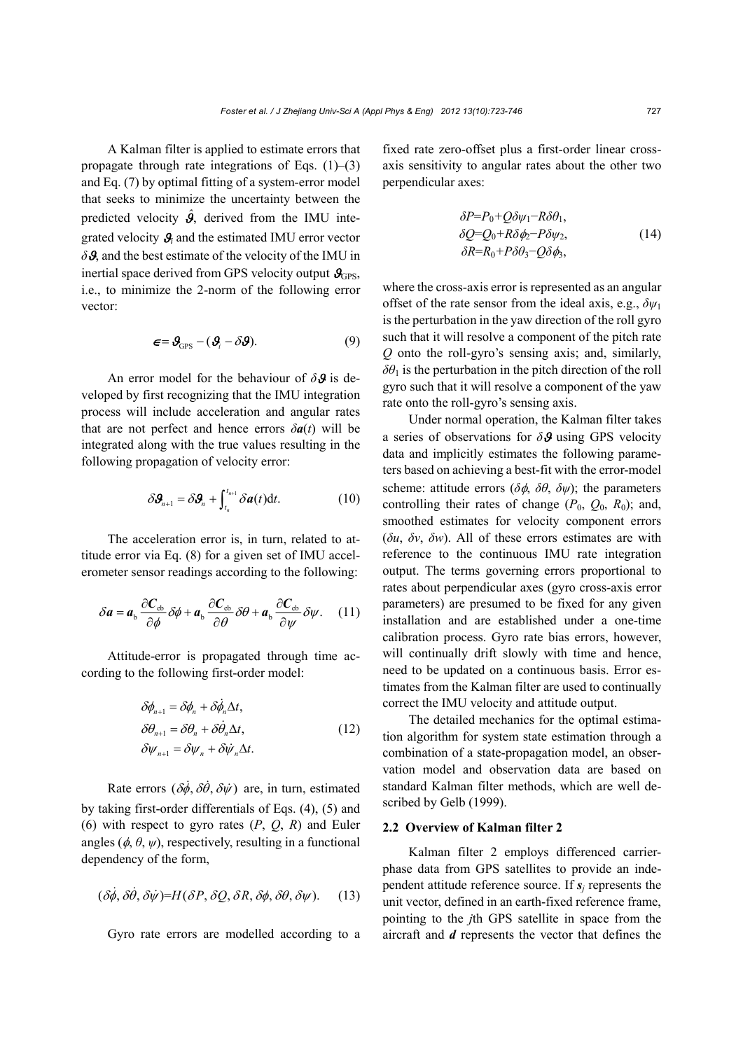A Kalman filter is applied to estimate errors that propagate through rate integrations of Eqs.  $(1)$ – $(3)$ and Eq. (7) by optimal fitting of a system-error model that seeks to minimize the uncertainty between the predicted velocity  $\hat{A}$ , derived from the IMU integrated velocity  $\mathcal{G}_i$  and the estimated IMU error vector  $\delta$ **9**, and the best estimate of the velocity of the IMU in inertial space derived from GPS velocity output  $\mathcal{G}_{\text{GPS}}$ , i.e., to minimize the 2-norm of the following error vector:

$$
\boldsymbol{\epsilon} = \boldsymbol{\theta}_{\text{GPS}} - (\boldsymbol{\theta}_i - \delta \boldsymbol{\theta}). \tag{9}
$$

An error model for the behaviour of  $\delta \theta$  is developed by first recognizing that the IMU integration process will include acceleration and angular rates that are not perfect and hence errors  $\delta a(t)$  will be integrated along with the true values resulting in the following propagation of velocity error:

$$
\delta \boldsymbol{\mathcal{G}}_{n+1} = \delta \boldsymbol{\mathcal{G}}_n + \int_{t_n}^{t_{n+1}} \delta \boldsymbol{a}(t) \mathrm{d}t. \tag{10}
$$

The acceleration error is, in turn, related to attitude error via Eq. (8) for a given set of IMU accelerometer sensor readings according to the following:

$$
\delta \boldsymbol{a} = \boldsymbol{a}_{\rm b} \frac{\partial \boldsymbol{C}_{\rm eb}}{\partial \phi} \delta \phi + \boldsymbol{a}_{\rm b} \frac{\partial \boldsymbol{C}_{\rm eb}}{\partial \theta} \delta \theta + \boldsymbol{a}_{\rm b} \frac{\partial \boldsymbol{C}_{\rm eb}}{\partial \psi} \delta \psi. \tag{11}
$$

Attitude-error is propagated through time according to the following first-order model:

$$
\delta \phi_{n+1} = \delta \phi_n + \delta \dot{\phi}_n \Delta t,
$$
  
\n
$$
\delta \theta_{n+1} = \delta \theta_n + \delta \dot{\theta}_n \Delta t,
$$
  
\n
$$
\delta \psi_{n+1} = \delta \psi_n + \delta \dot{\psi}_n \Delta t.
$$
\n(12)

Rate errors  $(\delta\dot{\phi}, \delta\dot{\theta}, \delta\dot{\psi})$  are, in turn, estimated by taking first-order differentials of Eqs. (4), (5) and (6) with respect to gyro rates (*P*, *Q*, *R*) and Euler angles ( $\phi$ ,  $\theta$ ,  $\psi$ ), respectively, resulting in a functional dependency of the form,

$$
(\delta\dot{\phi}, \delta\dot{\theta}, \delta\dot{\psi}) = H(\delta P, \delta Q, \delta R, \delta\phi, \delta\theta, \delta\psi). \tag{13}
$$

Gyro rate errors are modelled according to a

fixed rate zero-offset plus a first-order linear crossaxis sensitivity to angular rates about the other two perpendicular axes:

$$
\delta P = P_0 + Q \delta \psi_1 - R \delta \theta_1, \n\delta Q = Q_0 + R \delta \phi_2 - P \delta \psi_2, \n\delta R = R_0 + P \delta \theta_3 - Q \delta \phi_3,
$$
\n(14)

where the cross-axis error is represented as an angular offset of the rate sensor from the ideal axis, e.g., *δψ*<sup>1</sup> is the perturbation in the yaw direction of the roll gyro such that it will resolve a component of the pitch rate *Q* onto the roll-gyro's sensing axis; and, similarly,  $\delta\theta_1$  is the perturbation in the pitch direction of the roll gyro such that it will resolve a component of the yaw rate onto the roll-gyro's sensing axis.

Under normal operation, the Kalman filter takes a series of observations for  $\delta\mathcal{G}$  using GPS velocity data and implicitly estimates the following parameters based on achieving a best-fit with the error-model scheme: attitude errors ( $\delta\phi$ ,  $\delta\theta$ ,  $\delta\psi$ ); the parameters controlling their rates of change  $(P_0, Q_0, R_0)$ ; and, smoothed estimates for velocity component errors (*δu*, *δv*, *δw*). All of these errors estimates are with reference to the continuous IMU rate integration output. The terms governing errors proportional to rates about perpendicular axes (gyro cross-axis error parameters) are presumed to be fixed for any given installation and are established under a one-time calibration process. Gyro rate bias errors, however, will continually drift slowly with time and hence, need to be updated on a continuous basis. Error estimates from the Kalman filter are used to continually correct the IMU velocity and attitude output.

The detailed mechanics for the optimal estimation algorithm for system state estimation through a combination of a state-propagation model, an observation model and observation data are based on standard Kalman filter methods, which are well described by Gelb (1999).

## **2.2 Overview of Kalman filter 2**

Kalman filter 2 employs differenced carrierphase data from GPS satellites to provide an independent attitude reference source. If *sj* represents the unit vector, defined in an earth-fixed reference frame, pointing to the *j*th GPS satellite in space from the aircraft and *d* represents the vector that defines the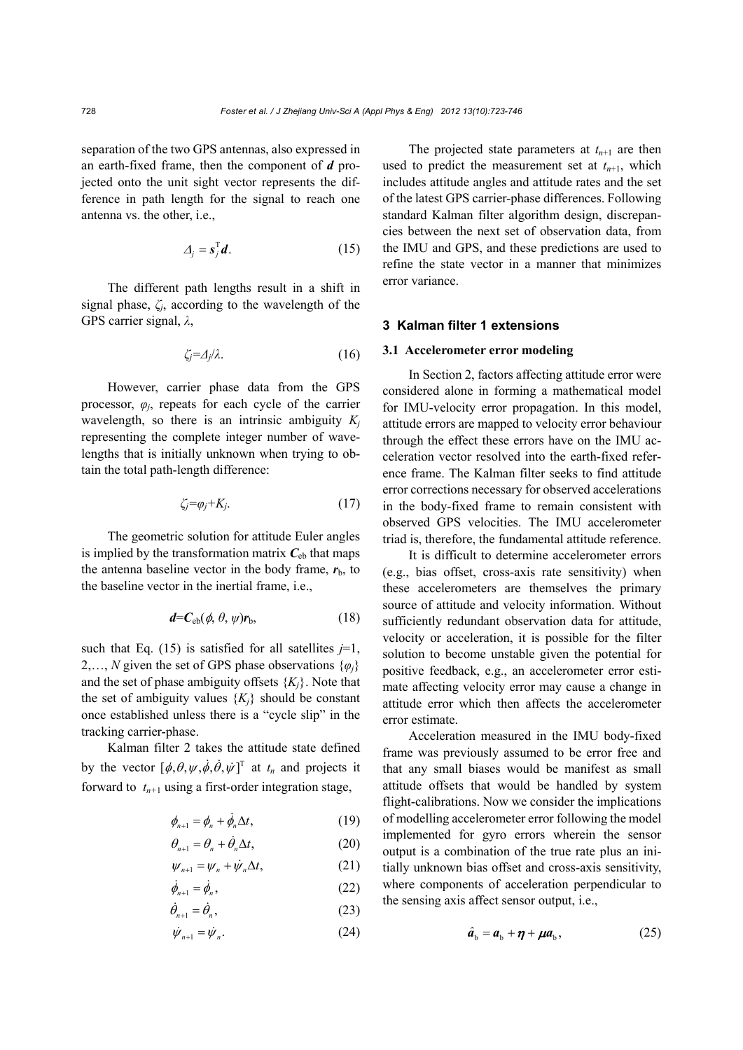separation of the two GPS antennas, also expressed in an earth-fixed frame, then the component of *d* projected onto the unit sight vector represents the difference in path length for the signal to reach one antenna vs. the other, i.e.,

$$
\Delta_j = \mathbf{s}_j^{\mathrm{T}} \mathbf{d}.\tag{15}
$$

The different path lengths result in a shift in signal phase, *ζj*, according to the wavelength of the GPS carrier signal, *λ*,

$$
\zeta_j = \Delta_j/\lambda. \tag{16}
$$

However, carrier phase data from the GPS processor,  $\varphi_i$ , repeats for each cycle of the carrier wavelength, so there is an intrinsic ambiguity  $K_i$ representing the complete integer number of wavelengths that is initially unknown when trying to obtain the total path-length difference:

$$
\zeta_j = \varphi_j + K_j. \tag{17}
$$

The geometric solution for attitude Euler angles is implied by the transformation matrix  $C_{eb}$  that maps the antenna baseline vector in the body frame,  $r<sub>b</sub>$ , to the baseline vector in the inertial frame, i.e.,

$$
d = C_{\text{eb}}(\phi, \theta, \psi) r_{\text{b}}, \qquad (18)
$$

such that Eq. (15) is satisfied for all satellites  $j=1$ , 2,…, *N* given the set of GPS phase observations {*φj*} and the set of phase ambiguity offsets  ${K<sub>i</sub>}$ . Note that the set of ambiguity values  ${K_i}$  should be constant once established unless there is a "cycle slip" in the tracking carrier-phase.

Kalman filter 2 takes the attitude state defined by the vector  $[\phi, \theta, \psi, \dot{\phi}, \dot{\theta}, \dot{\psi}]^T$  at  $t_n$  and projects it forward to  $t_{n+1}$  using a first-order integration stage,

$$
\phi_{n+1} = \phi_n + \dot{\phi}_n \Delta t, \qquad (19)
$$

$$
\theta_{n+1} = \theta_n + \dot{\theta}_n \Delta t, \qquad (20)
$$

$$
\psi_{n+1} = \psi_n + \dot{\psi}_n \Delta t, \qquad (21)
$$

$$
\dot{\phi}_{n+1} = \dot{\phi}_n, \tag{22}
$$

$$
\dot{\theta}_{n+1} = \dot{\theta}_n, \tag{23}
$$

$$
\dot{\psi}_{n+1} = \dot{\psi}_n. \tag{24}
$$

The projected state parameters at  $t_{n+1}$  are then used to predict the measurement set at  $t_{n+1}$ , which includes attitude angles and attitude rates and the set of the latest GPS carrier-phase differences. Following standard Kalman filter algorithm design, discrepancies between the next set of observation data, from the IMU and GPS, and these predictions are used to refine the state vector in a manner that minimizes error variance.

# **3 Kalman filter 1 extensions**

# **3.1 Accelerometer error modeling**

In Section 2, factors affecting attitude error were considered alone in forming a mathematical model for IMU-velocity error propagation. In this model, attitude errors are mapped to velocity error behaviour through the effect these errors have on the IMU acceleration vector resolved into the earth-fixed reference frame. The Kalman filter seeks to find attitude error corrections necessary for observed accelerations in the body-fixed frame to remain consistent with observed GPS velocities. The IMU accelerometer triad is, therefore, the fundamental attitude reference.

It is difficult to determine accelerometer errors (e.g., bias offset, cross-axis rate sensitivity) when these accelerometers are themselves the primary source of attitude and velocity information. Without sufficiently redundant observation data for attitude, velocity or acceleration, it is possible for the filter solution to become unstable given the potential for positive feedback, e.g., an accelerometer error estimate affecting velocity error may cause a change in attitude error which then affects the accelerometer error estimate.

Acceleration measured in the IMU body-fixed frame was previously assumed to be error free and that any small biases would be manifest as small attitude offsets that would be handled by system flight-calibrations. Now we consider the implications of modelling accelerometer error following the model implemented for gyro errors wherein the sensor output is a combination of the true rate plus an initially unknown bias offset and cross-axis sensitivity, where components of acceleration perpendicular to the sensing axis affect sensor output, i.e.,

$$
\hat{a}_{\mathrm{b}} = a_{\mathrm{b}} + \eta + \mu a_{\mathrm{b}},\tag{25}
$$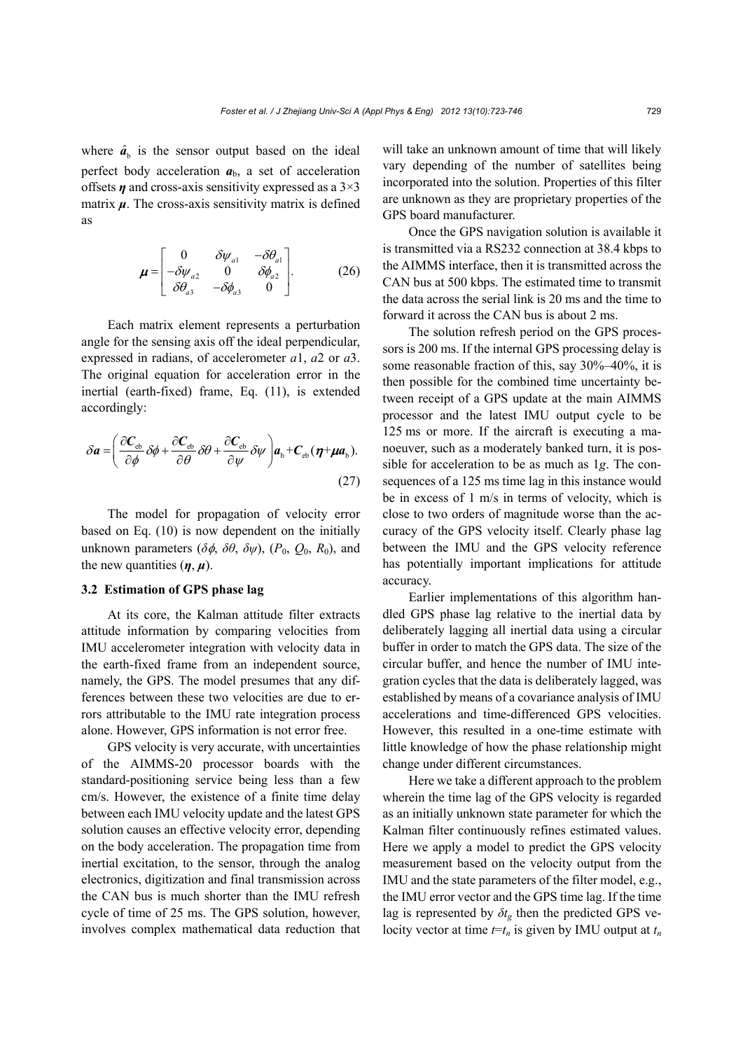where  $\hat{a}$ <sup>n</sup> is the sensor output based on the ideal perfect body acceleration  $a<sub>b</sub>$ , a set of acceleration offsets *η* and cross-axis sensitivity expressed as a 3×3 matrix  $\mu$ . The cross-axis sensitivity matrix is defined as

$$
\boldsymbol{\mu} = \begin{bmatrix} 0 & \delta \psi_{a1} & -\delta \theta_{a1} \\ -\delta \psi_{a2} & 0 & \delta \phi_{a2} \\ \delta \theta_{a3} & -\delta \phi_{a3} & 0 \end{bmatrix} .
$$
 (26)

Each matrix element represents a perturbation angle for the sensing axis off the ideal perpendicular, expressed in radians, of accelerometer *a*1, *a*2 or *a*3. The original equation for acceleration error in the inertial (earth-fixed) frame, Eq. (11), is extended accordingly:

$$
\delta \boldsymbol{a} = \left( \frac{\partial \boldsymbol{C}_{\text{eb}}}{\partial \phi} \delta \phi + \frac{\partial \boldsymbol{C}_{\text{eb}}}{\partial \theta} \delta \theta + \frac{\partial \boldsymbol{C}_{\text{eb}}}{\partial \psi} \delta \psi \right) \boldsymbol{a}_{\text{b}} + \boldsymbol{C}_{\text{eb}} (\boldsymbol{\eta} + \boldsymbol{\mu} \boldsymbol{a}_{\text{b}}).
$$
\n(27)

The model for propagation of velocity error based on Eq. (10) is now dependent on the initially unknown parameters ( $\delta\phi$ ,  $\delta\theta$ ,  $\delta\psi$ ), ( $P_0$ ,  $Q_0$ ,  $R_0$ ), and the new quantities  $(\eta, \mu)$ .

## **3.2 Estimation of GPS phase lag**

At its core, the Kalman attitude filter extracts attitude information by comparing velocities from IMU accelerometer integration with velocity data in the earth-fixed frame from an independent source, namely, the GPS. The model presumes that any differences between these two velocities are due to errors attributable to the IMU rate integration process alone. However, GPS information is not error free.

GPS velocity is very accurate, with uncertainties of the AIMMS-20 processor boards with the standard-positioning service being less than a few cm/s. However, the existence of a finite time delay between each IMU velocity update and the latest GPS solution causes an effective velocity error, depending on the body acceleration. The propagation time from inertial excitation, to the sensor, through the analog electronics, digitization and final transmission across the CAN bus is much shorter than the IMU refresh cycle of time of 25 ms. The GPS solution, however, involves complex mathematical data reduction that

will take an unknown amount of time that will likely vary depending of the number of satellites being incorporated into the solution. Properties of this filter are unknown as they are proprietary properties of the GPS board manufacturer.

Once the GPS navigation solution is available it is transmitted via a RS232 connection at 38.4 kbps to the AIMMS interface, then it is transmitted across the CAN bus at 500 kbps. The estimated time to transmit the data across the serial link is 20 ms and the time to forward it across the CAN bus is about 2 ms.

The solution refresh period on the GPS processors is 200 ms. If the internal GPS processing delay is some reasonable fraction of this, say 30%–40%, it is then possible for the combined time uncertainty between receipt of a GPS update at the main AIMMS processor and the latest IMU output cycle to be 125 ms or more. If the aircraft is executing a manoeuver, such as a moderately banked turn, it is possible for acceleration to be as much as 1*g*. The consequences of a 125 ms time lag in this instance would be in excess of 1 m/s in terms of velocity, which is close to two orders of magnitude worse than the accuracy of the GPS velocity itself. Clearly phase lag between the IMU and the GPS velocity reference has potentially important implications for attitude accuracy.

Earlier implementations of this algorithm handled GPS phase lag relative to the inertial data by deliberately lagging all inertial data using a circular buffer in order to match the GPS data. The size of the circular buffer, and hence the number of IMU integration cycles that the data is deliberately lagged, was established by means of a covariance analysis of IMU accelerations and time-differenced GPS velocities. However, this resulted in a one-time estimate with little knowledge of how the phase relationship might change under different circumstances.

Here we take a different approach to the problem wherein the time lag of the GPS velocity is regarded as an initially unknown state parameter for which the Kalman filter continuously refines estimated values. Here we apply a model to predict the GPS velocity measurement based on the velocity output from the IMU and the state parameters of the filter model, e.g., the IMU error vector and the GPS time lag. If the time lag is represented by  $\delta t_{g}$  then the predicted GPS velocity vector at time  $t=t_n$  is given by IMU output at  $t_n$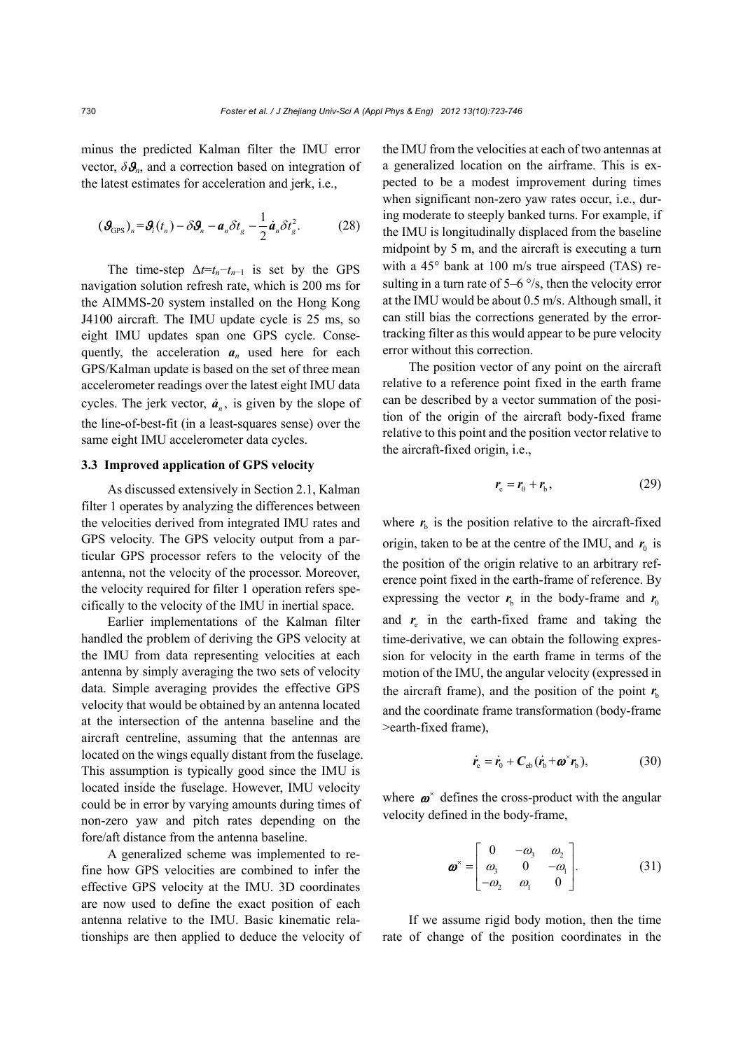minus the predicted Kalman filter the IMU error vector,  $\delta \mathcal{S}_n$ , and a correction based on integration of the latest estimates for acceleration and jerk, i.e.,

$$
(\boldsymbol{\mathcal{G}}_{\text{GPS}})_n = \boldsymbol{\mathcal{G}}_i(t_n) - \delta \boldsymbol{\mathcal{G}}_n - \boldsymbol{a}_n \delta t_g - \frac{1}{2} \boldsymbol{\dot{a}}_n \delta t_g^2. \tag{28}
$$

The time-step  $\Delta t = t_n - t_{n-1}$  is set by the GPS navigation solution refresh rate, which is 200 ms for the AIMMS-20 system installed on the Hong Kong J4100 aircraft. The IMU update cycle is 25 ms, so eight IMU updates span one GPS cycle. Consequently, the acceleration *an* used here for each GPS/Kalman update is based on the set of three mean accelerometer readings over the latest eight IMU data cycles. The jerk vector,  $\dot{a}_n$ , is given by the slope of the line-of-best-fit (in a least-squares sense) over the same eight IMU accelerometer data cycles.

#### **3.3 Improved application of GPS velocity**

As discussed extensively in Section 2.1, Kalman filter 1 operates by analyzing the differences between the velocities derived from integrated IMU rates and GPS velocity. The GPS velocity output from a particular GPS processor refers to the velocity of the antenna, not the velocity of the processor. Moreover, the velocity required for filter 1 operation refers specifically to the velocity of the IMU in inertial space.

Earlier implementations of the Kalman filter handled the problem of deriving the GPS velocity at the IMU from data representing velocities at each antenna by simply averaging the two sets of velocity data. Simple averaging provides the effective GPS velocity that would be obtained by an antenna located at the intersection of the antenna baseline and the aircraft centreline, assuming that the antennas are located on the wings equally distant from the fuselage. This assumption is typically good since the IMU is located inside the fuselage. However, IMU velocity could be in error by varying amounts during times of non-zero yaw and pitch rates depending on the fore/aft distance from the antenna baseline.

A generalized scheme was implemented to refine how GPS velocities are combined to infer the effective GPS velocity at the IMU. 3D coordinates are now used to define the exact position of each antenna relative to the IMU. Basic kinematic relationships are then applied to deduce the velocity of

the IMU from the velocities at each of two antennas at a generalized location on the airframe. This is expected to be a modest improvement during times when significant non-zero yaw rates occur, i.e., during moderate to steeply banked turns. For example, if the IMU is longitudinally displaced from the baseline midpoint by 5 m, and the aircraft is executing a turn with a  $45^{\circ}$  bank at 100 m/s true airspeed (TAS) resulting in a turn rate of  $5-6$  %, then the velocity error at the IMU would be about 0.5 m/s. Although small, it can still bias the corrections generated by the errortracking filter as this would appear to be pure velocity error without this correction.

The position vector of any point on the aircraft relative to a reference point fixed in the earth frame can be described by a vector summation of the position of the origin of the aircraft body-fixed frame relative to this point and the position vector relative to the aircraft-fixed origin, i.e.,

$$
\mathbf{r}_{\rm e} = \mathbf{r}_{\rm 0} + \mathbf{r}_{\rm b},\tag{29}
$$

where  $r<sub>b</sub>$  is the position relative to the aircraft-fixed origin, taken to be at the centre of the IMU, and  $r_0$  is the position of the origin relative to an arbitrary reference point fixed in the earth-frame of reference. By expressing the vector  $r<sub>b</sub>$  in the body-frame and  $r<sub>0</sub>$ and  $r_e$  in the earth-fixed frame and taking the time-derivative, we can obtain the following expression for velocity in the earth frame in terms of the motion of the IMU, the angular velocity (expressed in the aircraft frame), and the position of the point  $r<sub>b</sub>$ and the coordinate frame transformation (body-frame >earth-fixed frame),

$$
\dot{\mathbf{r}}_{\rm e} = \dot{\mathbf{r}}_{0} + \mathbf{C}_{\rm eb} (\dot{\mathbf{r}}_{\rm b} + \boldsymbol{\omega}^{\times} \mathbf{r}_{\rm b}), \qquad (30)
$$

where  $\boldsymbol{\omega}^*$  defines the cross-product with the angular velocity defined in the body-frame,

$$
\boldsymbol{\omega}^* = \begin{bmatrix} 0 & -\omega_3 & \omega_2 \\ \omega_3 & 0 & -\omega_1 \\ -\omega_2 & \omega_1 & 0 \end{bmatrix} . \tag{31}
$$

If we assume rigid body motion, then the time rate of change of the position coordinates in the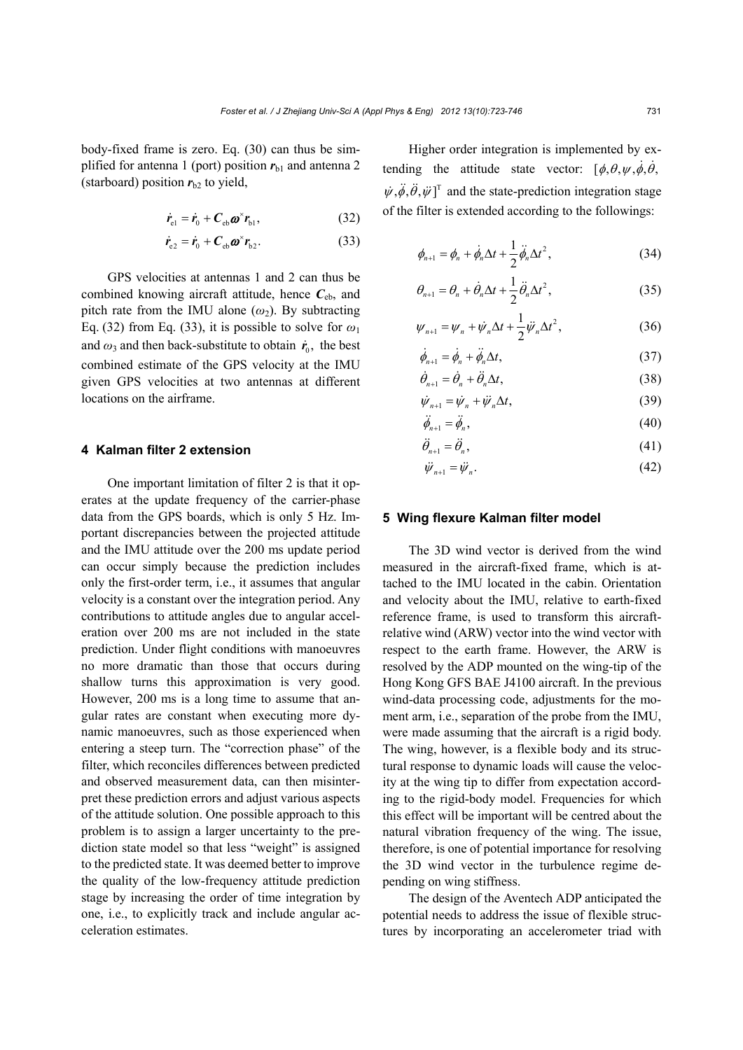body-fixed frame is zero. Eq. (30) can thus be simplified for antenna 1 (port) position  $r_{b1}$  and antenna 2 (starboard) position  $r_{b2}$  to yield,

$$
\dot{\boldsymbol{r}}_{\rm el} = \dot{\boldsymbol{r}}_{0} + \boldsymbol{C}_{\rm eb} \boldsymbol{\omega}^{\times} \boldsymbol{r}_{\rm bl}, \qquad (32)
$$

$$
\dot{\boldsymbol{r}}_{e2} = \dot{\boldsymbol{r}}_0 + \boldsymbol{C}_{eb} \boldsymbol{\omega}^{\times} \boldsymbol{r}_{b2}. \tag{33}
$$

GPS velocities at antennas 1 and 2 can thus be combined knowing aircraft attitude, hence *C*eb, and pitch rate from the IMU alone  $(\omega_2)$ . By subtracting Eq. (32) from Eq. (33), it is possible to solve for  $\omega_1$ and  $\omega_3$  and then back-substitute to obtain  $\dot{r}_0$ , the best combined estimate of the GPS velocity at the IMU given GPS velocities at two antennas at different locations on the airframe.

# **4 Kalman filter 2 extension**

One important limitation of filter 2 is that it operates at the update frequency of the carrier-phase data from the GPS boards, which is only 5 Hz. Important discrepancies between the projected attitude and the IMU attitude over the 200 ms update period can occur simply because the prediction includes only the first-order term, i.e., it assumes that angular velocity is a constant over the integration period. Any contributions to attitude angles due to angular acceleration over 200 ms are not included in the state prediction. Under flight conditions with manoeuvres no more dramatic than those that occurs during shallow turns this approximation is very good. However, 200 ms is a long time to assume that angular rates are constant when executing more dynamic manoeuvres, such as those experienced when entering a steep turn. The "correction phase" of the filter, which reconciles differences between predicted and observed measurement data, can then misinterpret these prediction errors and adjust various aspects of the attitude solution. One possible approach to this problem is to assign a larger uncertainty to the prediction state model so that less "weight" is assigned to the predicted state. It was deemed better to improve the quality of the low-frequency attitude prediction stage by increasing the order of time integration by one, i.e., to explicitly track and include angular acceleration estimates.

Higher order integration is implemented by extending the attitude state vector:  $[\phi, \theta, \psi, \dot{\phi}, \dot{\theta}]$ ,  $\psi, \ddot{\theta}, \ddot{\theta}, \dddot{\psi}$ <sup>T</sup> and the state-prediction integration stage of the filter is extended according to the followings:

$$
\phi_{n+1} = \phi_n + \dot{\phi}_n \Delta t + \frac{1}{2} \ddot{\phi}_n \Delta t^2, \qquad (34)
$$

$$
\theta_{n+1} = \theta_n + \dot{\theta}_n \Delta t + \frac{1}{2} \ddot{\theta}_n \Delta t^2, \qquad (35)
$$

$$
\psi_{n+1} = \psi_n + \dot{\psi}_n \Delta t + \frac{1}{2} \ddot{\psi}_n \Delta t^2, \tag{36}
$$

$$
\dot{\phi}_{n+1} = \dot{\phi}_n + \ddot{\phi}_n \Delta t, \qquad (37)
$$

$$
\dot{\theta}_{n+1} = \dot{\theta}_n + \ddot{\theta}_n \Delta t,\tag{38}
$$

$$
\dot{\psi}_{n+1} = \dot{\psi}_n + \ddot{\psi}_n \Delta t, \qquad (39)
$$

$$
\ddot{\phi}_{n+1} = \ddot{\phi}_n, \tag{40}
$$

$$
\ddot{\theta}_{n+1} = \ddot{\theta}_n,\tag{41}
$$

$$
\ddot{\psi}_{n+1} = \ddot{\psi}_n. \tag{42}
$$

## **5 Wing flexure Kalman filter model**

The 3D wind vector is derived from the wind measured in the aircraft-fixed frame, which is attached to the IMU located in the cabin. Orientation and velocity about the IMU, relative to earth-fixed reference frame, is used to transform this aircraftrelative wind (ARW) vector into the wind vector with respect to the earth frame. However, the ARW is resolved by the ADP mounted on the wing-tip of the Hong Kong GFS BAE J4100 aircraft. In the previous wind-data processing code, adjustments for the moment arm, i.e., separation of the probe from the IMU, were made assuming that the aircraft is a rigid body. The wing, however, is a flexible body and its structural response to dynamic loads will cause the velocity at the wing tip to differ from expectation according to the rigid-body model. Frequencies for which this effect will be important will be centred about the natural vibration frequency of the wing. The issue, therefore, is one of potential importance for resolving the 3D wind vector in the turbulence regime depending on wing stiffness.

The design of the Aventech ADP anticipated the potential needs to address the issue of flexible structures by incorporating an accelerometer triad with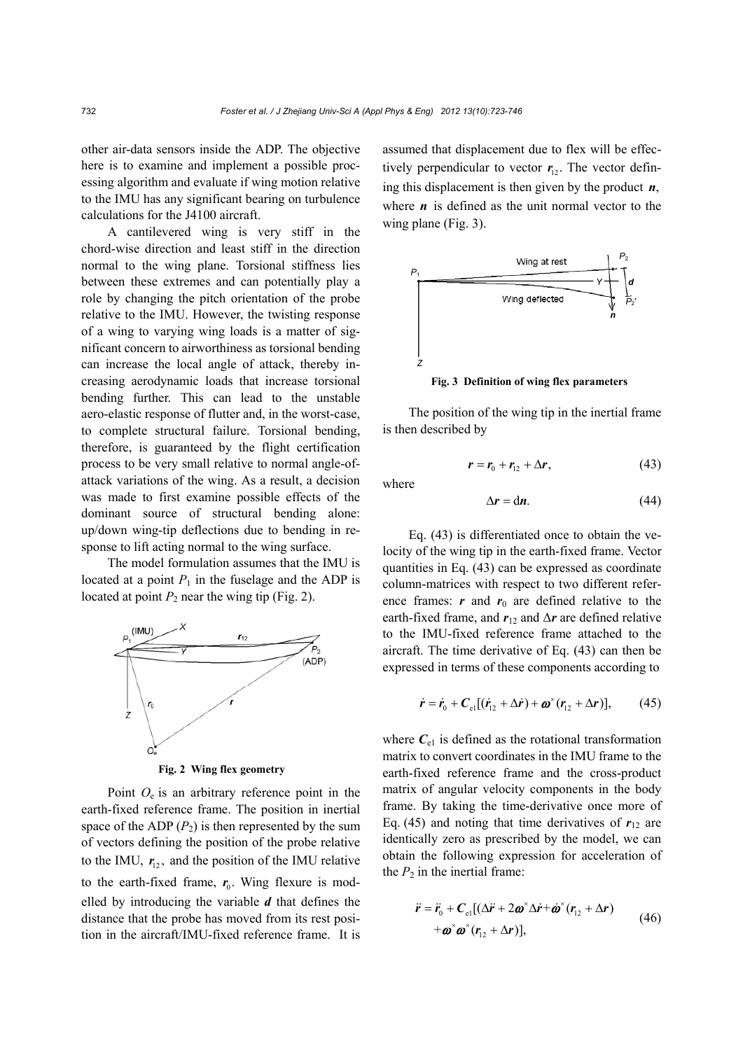other air-data sensors inside the ADP. The objective here is to examine and implement a possible processing algorithm and evaluate if wing motion relative to the IMU has any significant bearing on turbulence calculations for the J4100 aircraft.

A cantilevered wing is very stiff in the chord-wise direction and least stiff in the direction normal to the wing plane. Torsional stiffness lies between these extremes and can potentially play a role by changing the pitch orientation of the probe relative to the IMU. However, the twisting response of a wing to varying wing loads is a matter of significant concern to airworthiness as torsional bending can increase the local angle of attack, thereby increasing aerodynamic loads that increase torsional bending further. This can lead to the unstable aero-elastic response of flutter and, in the worst-case, to complete structural failure. Torsional bending, therefore, is guaranteed by the flight certification process to be very small relative to normal angle-ofattack variations of the wing. As a result, a decision was made to first examine possible effects of the dominant source of structural bending alone: up/down wing-tip deflections due to bending in response to lift acting normal to the wing surface.

The model formulation assumes that the IMU is located at a point  $P_1$  in the fuselage and the ADP is located at point  $P_2$  near the wing tip (Fig. 2).



**Fig. 2 Wing flex geometry**

Point  $O_e$  is an arbitrary reference point in the earth-fixed reference frame. The position in inertial space of the ADP  $(P_2)$  is then represented by the sum of vectors defining the position of the probe relative to the IMU,  $r_{12}$ , and the position of the IMU relative to the earth-fixed frame,  $r_0$ . Wing flexure is modelled by introducing the variable *d* that defines the distance that the probe has moved from its rest position in the aircraft/IMU-fixed reference frame. It is assumed that displacement due to flex will be effectively perpendicular to vector  $r_{12}$ . The vector defining this displacement is then given by the product *n*, where  $\boldsymbol{n}$  is defined as the unit normal vector to the wing plane (Fig. 3).



**Fig. 3 Definition of wing flex parameters**

The position of the wing tip in the inertial frame is then described by

$$
\boldsymbol{r} = \boldsymbol{r}_0 + \boldsymbol{r}_{12} + \Delta \boldsymbol{r}, \tag{43}
$$

where

$$
\Delta r = \mathrm{d}n. \tag{44}
$$

Eq. (43) is differentiated once to obtain the velocity of the wing tip in the earth-fixed frame. Vector quantities in Eq. (43) can be expressed as coordinate column-matrices with respect to two different reference frames:  $r$  and  $r_0$  are defined relative to the earth-fixed frame, and  $r_{12}$  and  $\Delta r$  are defined relative to the IMU-fixed reference frame attached to the aircraft. The time derivative of Eq. (43) can then be expressed in terms of these components according to

$$
\dot{\boldsymbol{r}} = \dot{\boldsymbol{r}}_0 + \boldsymbol{C}_{\text{el}}[(\dot{\boldsymbol{r}}_{12} + \Delta \dot{\boldsymbol{r}}) + \boldsymbol{\omega}^{\times}(\boldsymbol{r}_{12} + \Delta \boldsymbol{r})], \qquad (45)
$$

where  $C_{\text{el}}$  is defined as the rotational transformation matrix to convert coordinates in the IMU frame to the earth-fixed reference frame and the cross-product matrix of angular velocity components in the body frame. By taking the time-derivative once more of Eq. (45) and noting that time derivatives of  $r_{12}$  are identically zero as prescribed by the model, we can obtain the following expression for acceleration of the  $P_2$  in the inertial frame:

$$
\ddot{\mathbf{r}} = \ddot{\mathbf{r}}_0 + \mathbf{C}_{\text{el}}[(\Delta \ddot{\mathbf{r}} + 2\boldsymbol{\omega}^* \Delta \dot{\mathbf{r}} + \dot{\boldsymbol{\omega}}^* (\mathbf{r}_{12} + \Delta \mathbf{r}) + \boldsymbol{\omega}^* \boldsymbol{\omega}^* (\mathbf{r}_{12} + \Delta \mathbf{r})],
$$
\n(46)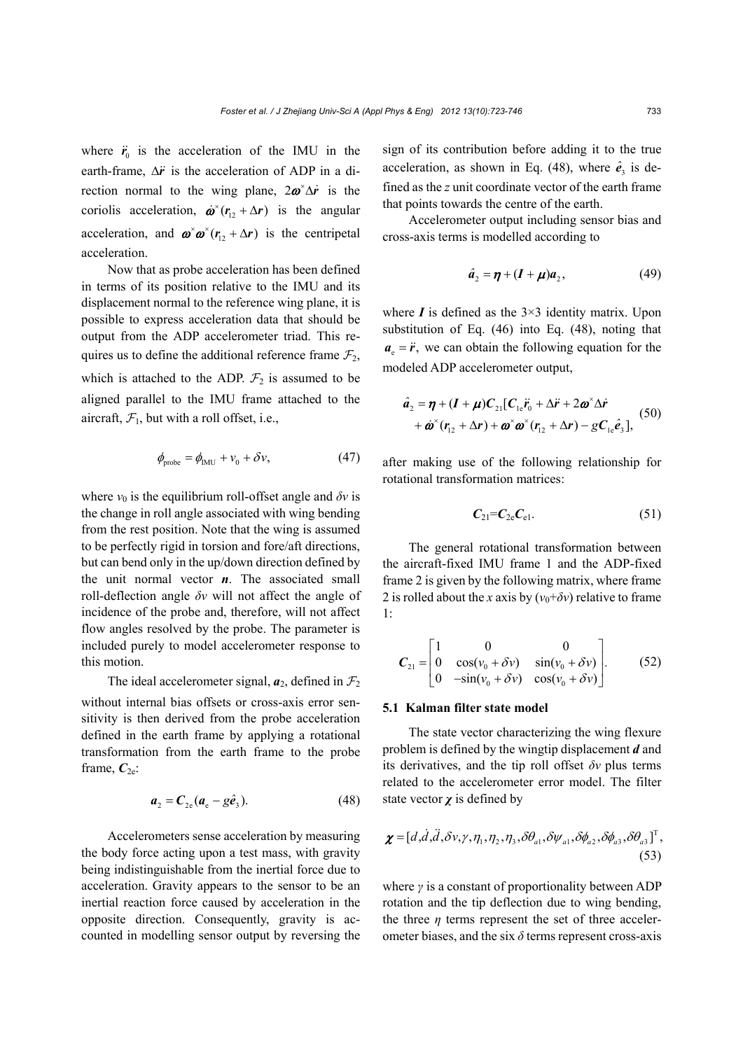where  $\ddot{r}_0$  is the acceleration of the IMU in the earth-frame,  $\Delta \ddot{r}$  is the acceleration of ADP in a direction normal to the wing plane,  $2\boldsymbol{\omega}^{\times} \Delta \dot{\boldsymbol{r}}$  is the coriolis acceleration,  $\dot{\boldsymbol{\omega}}^{\times} (r_{12} + \Delta r)$  is the angular acceleration, and  $\boldsymbol{\omega}^* \boldsymbol{\omega}^* (r_1 + \Delta r)$  is the centripetal acceleration.

Now that as probe acceleration has been defined in terms of its position relative to the IMU and its displacement normal to the reference wing plane, it is possible to express acceleration data that should be output from the ADP accelerometer triad. This requires us to define the additional reference frame  $\mathcal{F}_2$ , which is attached to the ADP.  $\mathcal{F}_2$  is assumed to be aligned parallel to the IMU frame attached to the aircraft,  $\mathcal{F}_1$ , but with a roll offset, i.e.,

$$
\phi_{\text{probe}} = \phi_{\text{IMU}} + \nu_0 + \delta \nu, \tag{47}
$$

where  $v_0$  is the equilibrium roll-offset angle and  $\delta v$  is the change in roll angle associated with wing bending from the rest position. Note that the wing is assumed to be perfectly rigid in torsion and fore/aft directions, but can bend only in the up/down direction defined by the unit normal vector *n*. The associated small roll-deflection angle *δν* will not affect the angle of incidence of the probe and, therefore, will not affect flow angles resolved by the probe. The parameter is included purely to model accelerometer response to this motion.

The ideal accelerometer signal,  $a_2$ , defined in  $\mathcal{F}_2$ without internal bias offsets or cross-axis error sensitivity is then derived from the probe acceleration defined in the earth frame by applying a rotational transformation from the earth frame to the probe frame,  $C_{2e}$ :

$$
\boldsymbol{a}_2 = \boldsymbol{C}_{2e} (\boldsymbol{a}_e - g\hat{\boldsymbol{e}}_3). \tag{48}
$$

Accelerometers sense acceleration by measuring the body force acting upon a test mass, with gravity being indistinguishable from the inertial force due to acceleration. Gravity appears to the sensor to be an inertial reaction force caused by acceleration in the opposite direction. Consequently, gravity is accounted in modelling sensor output by reversing the sign of its contribution before adding it to the true acceleration, as shown in Eq. (48), where  $\hat{e}_3$  is defined as the *z* unit coordinate vector of the earth frame that points towards the centre of the earth.

Accelerometer output including sensor bias and cross-axis terms is modelled according to

$$
\hat{a}_2 = \eta + (I + \mu)a_2, \tag{49}
$$

where  $I$  is defined as the  $3\times3$  identity matrix. Upon substitution of Eq. (46) into Eq. (48), noting that  $a<sub>e</sub> = \ddot{r}$ , we can obtain the following equation for the modeled ADP accelerometer output,

$$
\hat{a}_2 = \eta + (I + \mu)C_{21}[C_{1e}\ddot{r}_0 + \Delta\ddot{r} + 2\omega^{\times}\Delta\dot{r} \n+ \dot{\omega}^{\times}(r_{12} + \Delta r) + \omega^{\times}\omega^{\times}(r_{12} + \Delta r) - gC_{1e}\hat{e}_3],
$$
\n(50)

after making use of the following relationship for rotational transformation matrices:

$$
C_{21} = C_{2e} C_{e1}.
$$
 (51)

The general rotational transformation between the aircraft-fixed IMU frame 1 and the ADP-fixed frame 2 is given by the following matrix, where frame 2 is rolled about the *x* axis by  $(v_0+\delta v)$  relative to frame 1:

$$
\boldsymbol{C}_{21} = \begin{bmatrix} 1 & 0 & 0 \\ 0 & \cos(v_0 + \delta v) & \sin(v_0 + \delta v) \\ 0 & -\sin(v_0 + \delta v) & \cos(v_0 + \delta v) \end{bmatrix}.
$$
 (52)

#### **5.1 Kalman filter state model**

The state vector characterizing the wing flexure problem is defined by the wingtip displacement *d* and its derivatives, and the tip roll offset *δν* plus terms related to the accelerometer error model. The filter state vector *χ* is defined by

$$
\boldsymbol{\chi} = [d, \dot{d}, \ddot{d}, \delta v, \gamma, \eta_1, \eta_2, \eta_3, \delta \theta_{a1}, \delta \psi_{a1}, \delta \phi_{a2}, \delta \phi_{a3}, \delta \theta_{a3}]^\text{T},
$$
\n(53)

where *γ* is a constant of proportionality between ADP rotation and the tip deflection due to wing bending, the three  $\eta$  terms represent the set of three accelerometer biases, and the six  $\delta$  terms represent cross-axis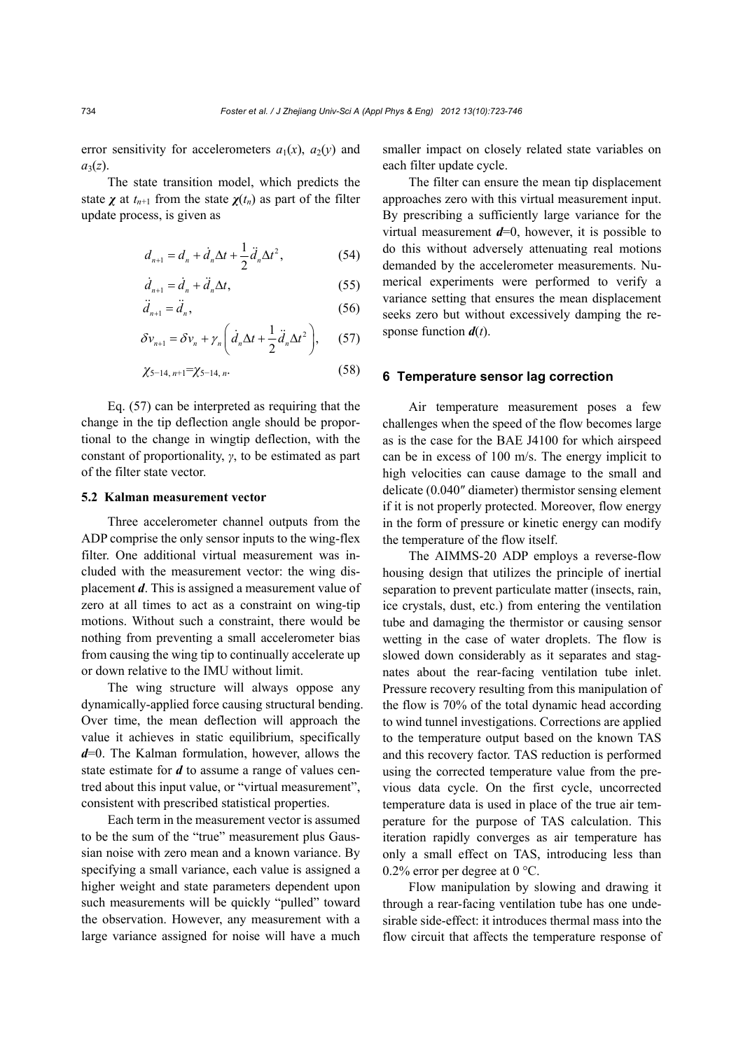error sensitivity for accelerometers  $a_1(x)$ ,  $a_2(y)$  and  $a_3(z)$ .

The state transition model, which predicts the state  $\chi$  at  $t_{n+1}$  from the state  $\chi(t_n)$  as part of the filter update process, is given as

$$
d_{n+1} = d_n + \dot{d}_n \Delta t + \frac{1}{2} \ddot{d}_n \Delta t^2, \qquad (54)
$$

$$
\dot{d}_{n+1} = \dot{d}_n + \ddot{d}_n \Delta t, \qquad (55)
$$

$$
\ddot{d}_{n+1} = \ddot{d}_n,\tag{56}
$$

$$
\delta v_{n+1} = \delta v_n + \gamma_n \left( \dot{d}_n \Delta t + \frac{1}{2} \dot{d}_n \Delta t^2 \right), \quad (57)
$$

$$
\chi_{5-14, n+1} = \chi_{5-14, n}.\tag{58}
$$

Eq. (57) can be interpreted as requiring that the change in the tip deflection angle should be proportional to the change in wingtip deflection, with the constant of proportionality, *γ*, to be estimated as part of the filter state vector.

# **5.2 Kalman measurement vector**

Three accelerometer channel outputs from the ADP comprise the only sensor inputs to the wing-flex filter. One additional virtual measurement was included with the measurement vector: the wing displacement *d*. This is assigned a measurement value of zero at all times to act as a constraint on wing-tip motions. Without such a constraint, there would be nothing from preventing a small accelerometer bias from causing the wing tip to continually accelerate up or down relative to the IMU without limit.

The wing structure will always oppose any dynamically-applied force causing structural bending. Over time, the mean deflection will approach the value it achieves in static equilibrium, specifically *d*=0. The Kalman formulation, however, allows the state estimate for *d* to assume a range of values centred about this input value, or "virtual measurement", consistent with prescribed statistical properties.

Each term in the measurement vector is assumed to be the sum of the "true" measurement plus Gaussian noise with zero mean and a known variance. By specifying a small variance, each value is assigned a higher weight and state parameters dependent upon such measurements will be quickly "pulled" toward the observation. However, any measurement with a large variance assigned for noise will have a much

smaller impact on closely related state variables on each filter update cycle.

The filter can ensure the mean tip displacement approaches zero with this virtual measurement input. By prescribing a sufficiently large variance for the virtual measurement  $d=0$ , however, it is possible to do this without adversely attenuating real motions demanded by the accelerometer measurements. Numerical experiments were performed to verify a variance setting that ensures the mean displacement seeks zero but without excessively damping the response function *d*(*t*).

## **6 Temperature sensor lag correction**

Air temperature measurement poses a few challenges when the speed of the flow becomes large as is the case for the BAE J4100 for which airspeed can be in excess of 100 m/s. The energy implicit to high velocities can cause damage to the small and delicate (0.040″ diameter) thermistor sensing element if it is not properly protected. Moreover, flow energy in the form of pressure or kinetic energy can modify the temperature of the flow itself.

The AIMMS-20 ADP employs a reverse-flow housing design that utilizes the principle of inertial separation to prevent particulate matter (insects, rain, ice crystals, dust, etc.) from entering the ventilation tube and damaging the thermistor or causing sensor wetting in the case of water droplets. The flow is slowed down considerably as it separates and stagnates about the rear-facing ventilation tube inlet. Pressure recovery resulting from this manipulation of the flow is 70% of the total dynamic head according to wind tunnel investigations. Corrections are applied to the temperature output based on the known TAS and this recovery factor. TAS reduction is performed using the corrected temperature value from the previous data cycle. On the first cycle, uncorrected temperature data is used in place of the true air temperature for the purpose of TAS calculation. This iteration rapidly converges as air temperature has only a small effect on TAS, introducing less than 0.2% error per degree at 0 °C.

Flow manipulation by slowing and drawing it through a rear-facing ventilation tube has one undesirable side-effect: it introduces thermal mass into the flow circuit that affects the temperature response of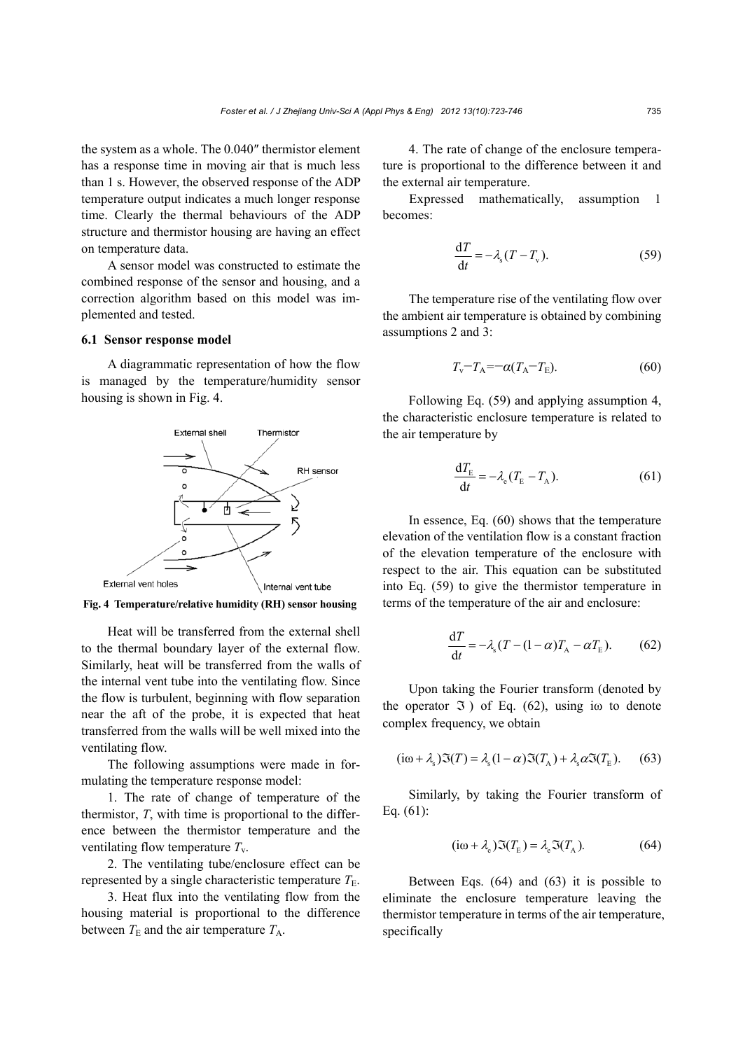the system as a whole. The 0.040″ thermistor element has a response time in moving air that is much less than 1 s. However, the observed response of the ADP temperature output indicates a much longer response time. Clearly the thermal behaviours of the ADP structure and thermistor housing are having an effect on temperature data.

A sensor model was constructed to estimate the combined response of the sensor and housing, and a correction algorithm based on this model was implemented and tested.

## **6.1 Sensor response model**

A diagrammatic representation of how the flow is managed by the temperature/humidity sensor housing is shown in Fig. 4.



**Fig. 4 Temperature/relative humidity (RH) sensor housing**

Heat will be transferred from the external shell to the thermal boundary layer of the external flow. Similarly, heat will be transferred from the walls of the internal vent tube into the ventilating flow. Since the flow is turbulent, beginning with flow separation near the aft of the probe, it is expected that heat transferred from the walls will be well mixed into the ventilating flow.

The following assumptions were made in formulating the temperature response model:

1. The rate of change of temperature of the thermistor, *T*, with time is proportional to the difference between the thermistor temperature and the ventilating flow temperature *T*v.

2. The ventilating tube/enclosure effect can be represented by a single characteristic temperature  $T_{\text{E}}$ .

3. Heat flux into the ventilating flow from the housing material is proportional to the difference between  $T<sub>E</sub>$  and the air temperature  $T<sub>A</sub>$ .

4. The rate of change of the enclosure temperature is proportional to the difference between it and the external air temperature.

Expressed mathematically, assumption 1 becomes:

$$
\frac{\mathrm{d}T}{\mathrm{d}t} = -\lambda_{\mathrm{s}}(T - T_{\mathrm{v}}). \tag{59}
$$

The temperature rise of the ventilating flow over the ambient air temperature is obtained by combining assumptions 2 and 3:

$$
T_{\rm v} - T_{\rm A} = -\alpha (T_{\rm A} - T_{\rm E}).\tag{60}
$$

Following Eq. (59) and applying assumption 4, the characteristic enclosure temperature is related to the air temperature by

$$
\frac{\mathrm{d}T_{\mathrm{E}}}{\mathrm{d}t} = -\lambda_{\mathrm{e}}(T_{\mathrm{E}} - T_{\mathrm{A}}). \tag{61}
$$

In essence, Eq. (60) shows that the temperature elevation of the ventilation flow is a constant fraction of the elevation temperature of the enclosure with respect to the air. This equation can be substituted into Eq. (59) to give the thermistor temperature in terms of the temperature of the air and enclosure:

$$
\frac{\mathrm{d}T}{\mathrm{d}t} = -\lambda_{\mathrm{s}}(T - (1 - \alpha)T_{\mathrm{A}} - \alpha T_{\mathrm{E}}). \tag{62}
$$

Upon taking the Fourier transform (denoted by the operator  $\Im$  ) of Eq. (62), using i $\omega$  to denote complex frequency, we obtain

$$
(\mathrm{i}\omega + \lambda_{\mathrm{s}})\mathfrak{I}(T) = \lambda_{\mathrm{s}}(1-\alpha)\mathfrak{I}(T_{\mathrm{A}}) + \lambda_{\mathrm{s}}\alpha\mathfrak{I}(T_{\mathrm{E}}). \qquad (63)
$$

Similarly, by taking the Fourier transform of Eq. (61):

$$
(\mathrm{i}\omega + \lambda_{\mathrm{e}})\Im(T_{\mathrm{E}}) = \lambda_{\mathrm{e}}\Im(T_{\mathrm{A}}). \tag{64}
$$

Between Eqs. (64) and (63) it is possible to eliminate the enclosure temperature leaving the thermistor temperature in terms of the air temperature, specifically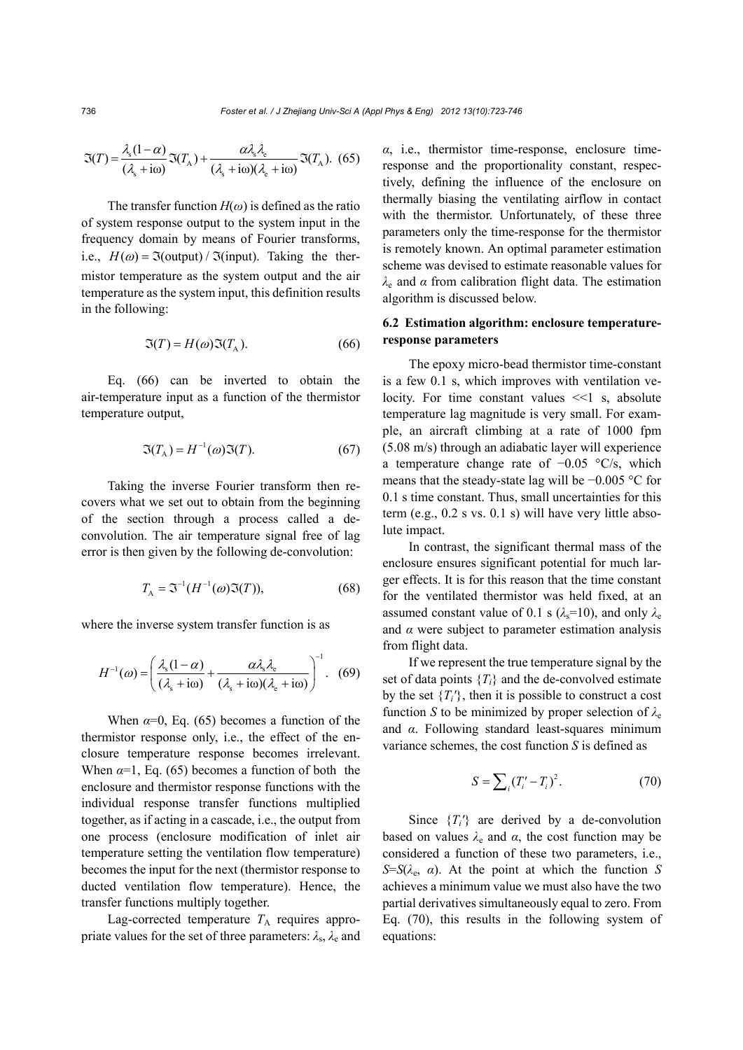$$
\mathfrak{J}(T) = \frac{\lambda_{\mathrm{s}}(1-\alpha)}{(\lambda_{\mathrm{s}} + \mathrm{i}\omega)} \mathfrak{J}(T_{\mathrm{A}}) + \frac{\alpha \lambda_{\mathrm{s}} \lambda_{\mathrm{e}}}{(\lambda_{\mathrm{s}} + \mathrm{i}\omega)(\lambda_{\mathrm{e}} + \mathrm{i}\omega)} \mathfrak{J}(T_{\mathrm{A}}). \tag{65}
$$

The transfer function  $H(\omega)$  is defined as the ratio of system response output to the system input in the frequency domain by means of Fourier transforms, i.e.,  $H(\omega) = \Im(\text{output}) / \Im(\text{input})$ . Taking the thermistor temperature as the system output and the air temperature as the system input, this definition results in the following:

$$
\mathfrak{J}(T) = H(\omega)\mathfrak{J}(T_{\mathbf{A}}). \tag{66}
$$

Eq. (66) can be inverted to obtain the air-temperature input as a function of the thermistor temperature output,

$$
\mathfrak{J}(T_{\mathbf{A}}) = H^{-1}(\omega)\mathfrak{J}(T). \tag{67}
$$

Taking the inverse Fourier transform then recovers what we set out to obtain from the beginning of the section through a process called a deconvolution. The air temperature signal free of lag error is then given by the following de-convolution:

$$
T_A = \mathfrak{I}^{-1}(H^{-1}(\omega)\mathfrak{I}(T)),\tag{68}
$$

where the inverse system transfer function is as

$$
H^{-1}(\omega) = \left(\frac{\lambda_{\rm s}(1-\alpha)}{(\lambda_{\rm s} + \rm i\omega)} + \frac{\alpha\lambda_{\rm s}\lambda_{\rm e}}{(\lambda_{\rm s} + \rm i\omega)(\lambda_{\rm e} + \rm i\omega)}\right)^{-1}.\quad (69)
$$

When  $\alpha=0$ , Eq. (65) becomes a function of the thermistor response only, i.e., the effect of the enclosure temperature response becomes irrelevant. When  $\alpha=1$ , Eq. (65) becomes a function of both the enclosure and thermistor response functions with the individual response transfer functions multiplied together, as if acting in a cascade, i.e., the output from one process (enclosure modification of inlet air temperature setting the ventilation flow temperature) becomes the input for the next (thermistor response to ducted ventilation flow temperature). Hence, the transfer functions multiply together.

Lag-corrected temperature  $T_A$  requires appropriate values for the set of three parameters: *λ*s, *λ*e and *α*, i.e., thermistor time-response, enclosure timeresponse and the proportionality constant, respectively, defining the influence of the enclosure on thermally biasing the ventilating airflow in contact with the thermistor. Unfortunately, of these three parameters only the time-response for the thermistor is remotely known. An optimal parameter estimation scheme was devised to estimate reasonable values for *λ*<sup>e</sup> and *α* from calibration flight data. The estimation algorithm is discussed below.

# **6.2 Estimation algorithm: enclosure temperatureresponse parameters**

The epoxy micro-bead thermistor time-constant is a few 0.1 s, which improves with ventilation velocity. For time constant values  $\leq 1$  s, absolute temperature lag magnitude is very small. For example, an aircraft climbing at a rate of 1000 fpm (5.08 m/s) through an adiabatic layer will experience a temperature change rate of −0.05 °C/s, which means that the steady-state lag will be −0.005 °C for 0.1 s time constant. Thus, small uncertainties for this term (e.g., 0.2 s vs. 0.1 s) will have very little absolute impact.

In contrast, the significant thermal mass of the enclosure ensures significant potential for much larger effects. It is for this reason that the time constant for the ventilated thermistor was held fixed, at an assumed constant value of 0.1 s ( $\lambda$ <sub>s</sub>=10), and only  $\lambda$ <sub>e</sub> and  $\alpha$  were subject to parameter estimation analysis from flight data.

If we represent the true temperature signal by the set of data points  ${T<sub>i</sub>}$  and the de-convolved estimate by the set  ${T_i}'$ , then it is possible to construct a cost function *S* to be minimized by proper selection of *λ*<sup>e</sup> and *α*. Following standard least-squares minimum variance schemes, the cost function *S* is defined as

$$
S = \sum_{i} (T_i' - T_i)^2.
$$
 (70)

Since  ${T_i}'$  are derived by a de-convolution based on values  $\lambda_e$  and  $\alpha$ , the cost function may be considered a function of these two parameters, i.e., *S*=*S*( $\lambda_e$ ,  $\alpha$ ). At the point at which the function *S* achieves a minimum value we must also have the two partial derivatives simultaneously equal to zero. From Eq. (70), this results in the following system of equations: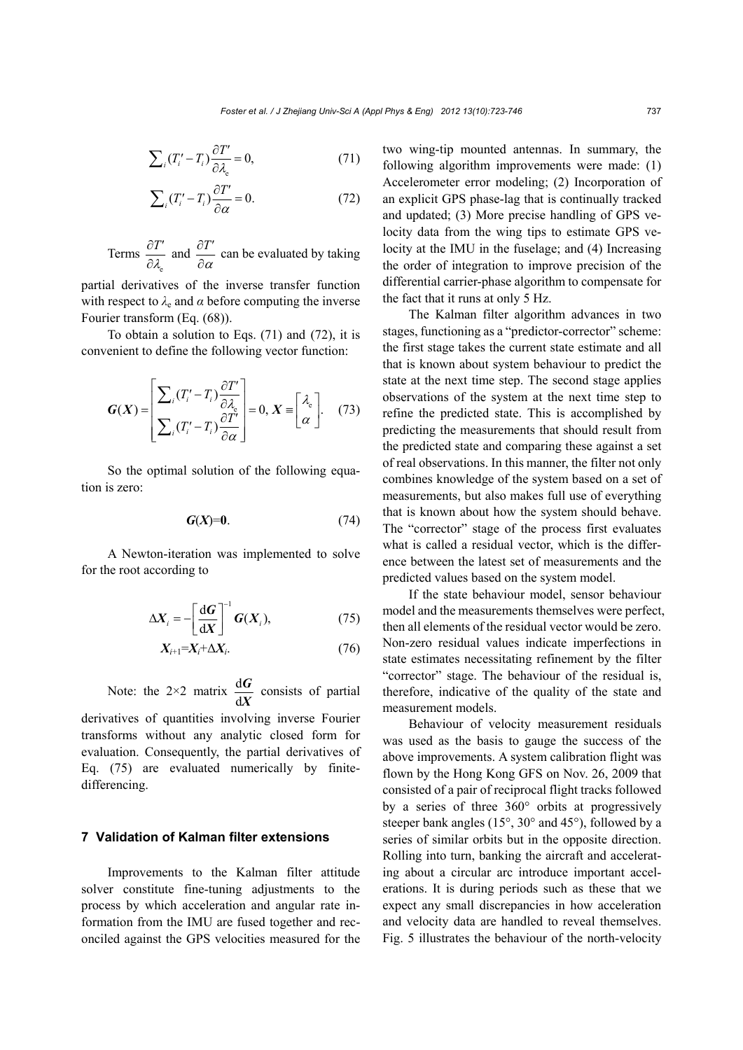$$
\sum_{i} (T_i' - T_i) \frac{\partial T'}{\partial \lambda_e} = 0, \tag{71}
$$

$$
\sum_{i} (T_i' - T_i) \frac{\partial T'}{\partial \alpha} = 0.
$$
 (72)

Terms 
$$
\frac{\partial T'}{\partial \lambda_e}
$$
 and  $\frac{\partial T'}{\partial \alpha}$  can be evaluated by taking

partial derivatives of the inverse transfer function with respect to  $\lambda_e$  and  $\alpha$  before computing the inverse Fourier transform (Eq. (68)).

To obtain a solution to Eqs. (71) and (72), it is convenient to define the following vector function:

$$
G(X) = \begin{bmatrix} \sum_{i} (T_i' - T_i) \frac{\partial T'}{\partial \lambda_{\rm e}} \\ \sum_{i} (T_i' - T_i) \frac{\partial T'}{\partial \alpha} \end{bmatrix} = 0, X = \begin{bmatrix} \lambda_{\rm e} \\ \alpha \end{bmatrix}.
$$
 (73)

So the optimal solution of the following equation is zero:

$$
G(X)=0.\t(74)
$$

A Newton-iteration was implemented to solve for the root according to

$$
\Delta X_i = -\left[\frac{\mathrm{d}G}{\mathrm{d}X}\right]^{-1} G(X_i),\tag{75}
$$

$$
X_{i+1} = X_i + \Delta X_i. \tag{76}
$$

Note: the 2×2 matrix  $\frac{d}{d}$ d  $\frac{G}{X}$  consists of partial

derivatives of quantities involving inverse Fourier transforms without any analytic closed form for evaluation. Consequently, the partial derivatives of Eq. (75) are evaluated numerically by finitedifferencing.

# **7 Validation of Kalman filter extensions**

Improvements to the Kalman filter attitude solver constitute fine-tuning adjustments to the process by which acceleration and angular rate information from the IMU are fused together and reconciled against the GPS velocities measured for the two wing-tip mounted antennas. In summary, the following algorithm improvements were made: (1) Accelerometer error modeling; (2) Incorporation of an explicit GPS phase-lag that is continually tracked and updated; (3) More precise handling of GPS velocity data from the wing tips to estimate GPS velocity at the IMU in the fuselage; and (4) Increasing the order of integration to improve precision of the differential carrier-phase algorithm to compensate for the fact that it runs at only 5 Hz.

The Kalman filter algorithm advances in two stages, functioning as a "predictor-corrector" scheme: the first stage takes the current state estimate and all that is known about system behaviour to predict the state at the next time step. The second stage applies observations of the system at the next time step to refine the predicted state. This is accomplished by predicting the measurements that should result from the predicted state and comparing these against a set of real observations. In this manner, the filter not only combines knowledge of the system based on a set of measurements, but also makes full use of everything that is known about how the system should behave. The "corrector" stage of the process first evaluates what is called a residual vector, which is the difference between the latest set of measurements and the predicted values based on the system model.

If the state behaviour model, sensor behaviour model and the measurements themselves were perfect, then all elements of the residual vector would be zero. Non-zero residual values indicate imperfections in state estimates necessitating refinement by the filter "corrector" stage. The behaviour of the residual is, therefore, indicative of the quality of the state and measurement models.

Behaviour of velocity measurement residuals was used as the basis to gauge the success of the above improvements. A system calibration flight was flown by the Hong Kong GFS on Nov. 26, 2009 that consisted of a pair of reciprocal flight tracks followed by a series of three 360° orbits at progressively steeper bank angles (15°, 30° and 45°), followed by a series of similar orbits but in the opposite direction. Rolling into turn, banking the aircraft and accelerating about a circular arc introduce important accelerations. It is during periods such as these that we expect any small discrepancies in how acceleration and velocity data are handled to reveal themselves. Fig. 5 illustrates the behaviour of the north-velocity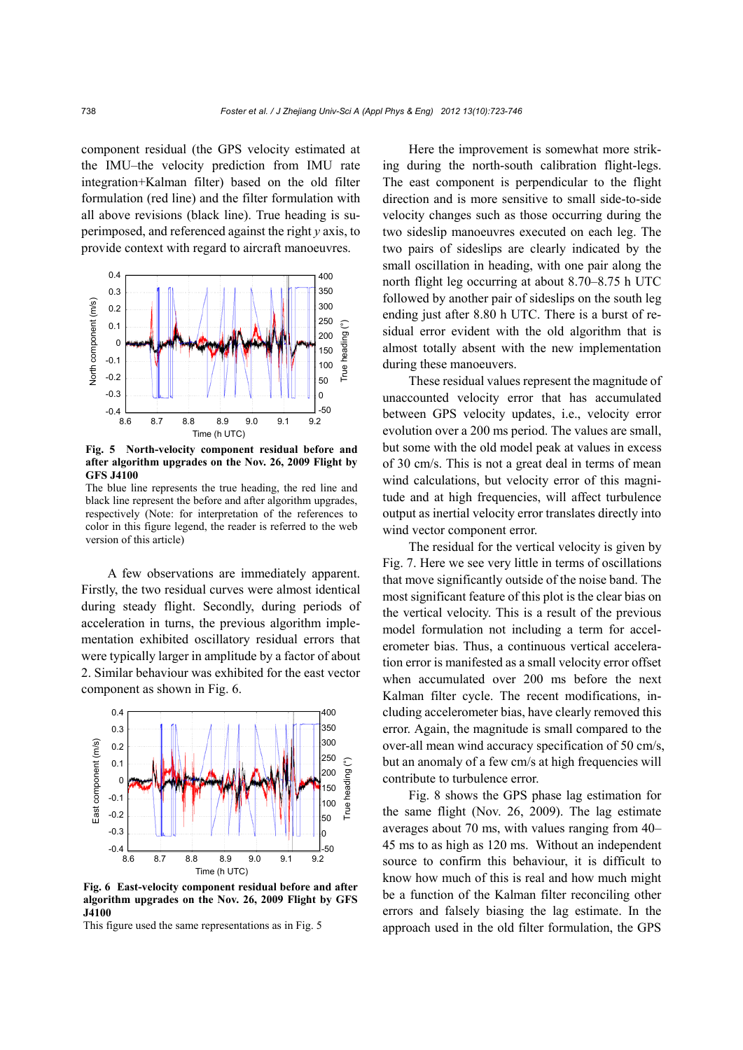component residual (the GPS velocity estimated at the IMU–the velocity prediction from IMU rate integration+Kalman filter) based on the old filter formulation (red line) and the filter formulation with all above revisions (black line). True heading is superimposed, and referenced against the right *y* axis, to provide context with regard to aircraft manoeuvres.



**Fig. 5 North-velocity component residual before and after algorithm upgrades on the Nov. 26, 2009 Flight by GFS J4100**

The blue line represents the true heading, the red line and black line represent the before and after algorithm upgrades, respectively (Note: for interpretation of the references to color in this figure legend, the reader is referred to the web version of this article)

A few observations are immediately apparent. Firstly, the two residual curves were almost identical during steady flight. Secondly, during periods of acceleration in turns, the previous algorithm implementation exhibited oscillatory residual errors that were typically larger in amplitude by a factor of about 2. Similar behaviour was exhibited for the east vector component as shown in Fig. 6.



**Fig. 6 East-velocity component residual before and after algorithm upgrades on the Nov. 26, 2009 Flight by GFS J4100**

This figure used the same representations as in Fig. 5

Here the improvement is somewhat more striking during the north-south calibration flight-legs. The east component is perpendicular to the flight direction and is more sensitive to small side-to-side velocity changes such as those occurring during the two sideslip manoeuvres executed on each leg. The two pairs of sideslips are clearly indicated by the small oscillation in heading, with one pair along the north flight leg occurring at about 8.70–8.75 h UTC followed by another pair of sideslips on the south leg ending just after 8.80 h UTC. There is a burst of residual error evident with the old algorithm that is almost totally absent with the new implementation during these manoeuvers.

These residual values represent the magnitude of unaccounted velocity error that has accumulated between GPS velocity updates, i.e., velocity error evolution over a 200 ms period. The values are small, but some with the old model peak at values in excess of 30 cm/s. This is not a great deal in terms of mean wind calculations, but velocity error of this magnitude and at high frequencies, will affect turbulence output as inertial velocity error translates directly into wind vector component error.

The residual for the vertical velocity is given by Fig. 7. Here we see very little in terms of oscillations that move significantly outside of the noise band. The most significant feature of this plot is the clear bias on the vertical velocity. This is a result of the previous model formulation not including a term for accelerometer bias. Thus, a continuous vertical acceleration error is manifested as a small velocity error offset when accumulated over 200 ms before the next Kalman filter cycle. The recent modifications, including accelerometer bias, have clearly removed this error. Again, the magnitude is small compared to the over-all mean wind accuracy specification of 50 cm/s, but an anomaly of a few cm/s at high frequencies will contribute to turbulence error.

Fig. 8 shows the GPS phase lag estimation for the same flight (Nov. 26, 2009). The lag estimate averages about 70 ms, with values ranging from 40– 45 ms to as high as 120 ms. Without an independent source to confirm this behaviour, it is difficult to know how much of this is real and how much might be a function of the Kalman filter reconciling other errors and falsely biasing the lag estimate. In the approach used in the old filter formulation, the GPS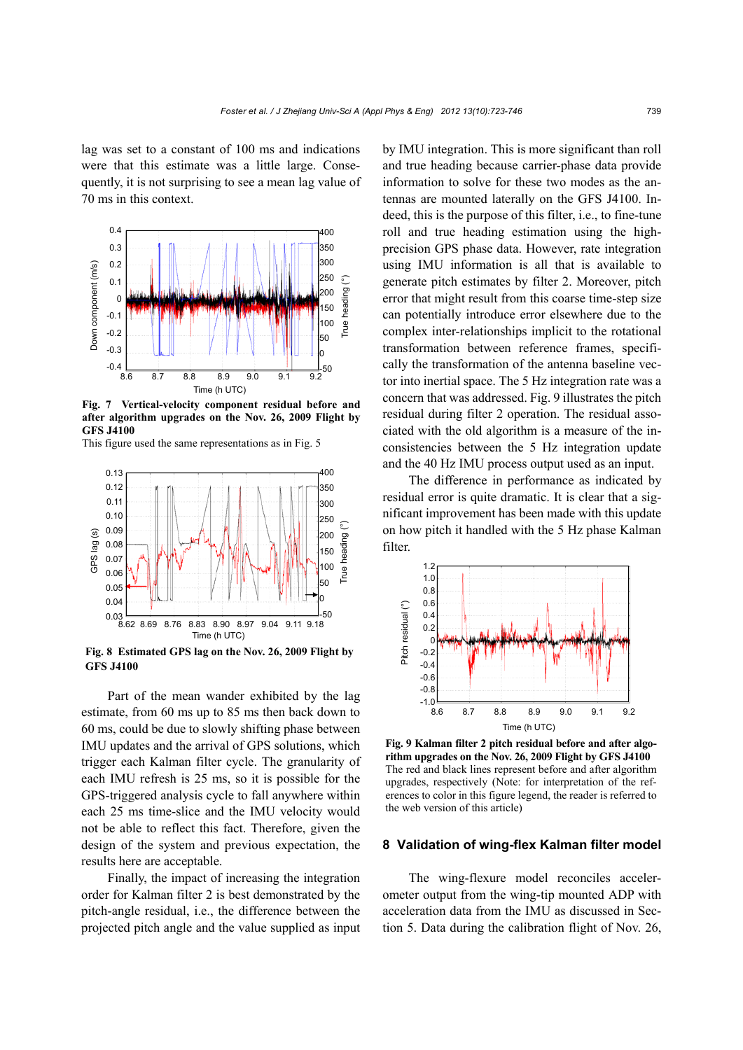lag was set to a constant of 100 ms and indications were that this estimate was a little large. Consequently, it is not surprising to see a mean lag value of 70 ms in this context.



**Fig. 7 Vertical-velocity component residual before and after algorithm upgrades on the Nov. 26, 2009 Flight by GFS J4100**

This figure used the same representations as in Fig. 5



**Fig. 8 Estimated GPS lag on the Nov. 26, 2009 Flight by GFS J4100** 

Part of the mean wander exhibited by the lag estimate, from 60 ms up to 85 ms then back down to 60 ms, could be due to slowly shifting phase between IMU updates and the arrival of GPS solutions, which trigger each Kalman filter cycle. The granularity of each IMU refresh is 25 ms, so it is possible for the GPS-triggered analysis cycle to fall anywhere within each 25 ms time-slice and the IMU velocity would not be able to reflect this fact. Therefore, given the design of the system and previous expectation, the results here are acceptable.

Finally, the impact of increasing the integration order for Kalman filter 2 is best demonstrated by the pitch-angle residual, i.e., the difference between the projected pitch angle and the value supplied as input

by IMU integration. This is more significant than roll and true heading because carrier-phase data provide information to solve for these two modes as the antennas are mounted laterally on the GFS J4100. Indeed, this is the purpose of this filter, i.e., to fine-tune roll and true heading estimation using the highprecision GPS phase data. However, rate integration using IMU information is all that is available to generate pitch estimates by filter 2. Moreover, pitch error that might result from this coarse time-step size can potentially introduce error elsewhere due to the complex inter-relationships implicit to the rotational transformation between reference frames, specifically the transformation of the antenna baseline vector into inertial space. The 5 Hz integration rate was a concern that was addressed. Fig. 9 illustrates the pitch residual during filter 2 operation. The residual associated with the old algorithm is a measure of the inconsistencies between the 5 Hz integration update and the 40 Hz IMU process output used as an input.

The difference in performance as indicated by residual error is quite dramatic. It is clear that a significant improvement has been made with this update on how pitch it handled with the 5 Hz phase Kalman filter.



**Fig. 9 Kalman filter 2 pitch residual before and after algorithm upgrades on the Nov. 26, 2009 Flight by GFS J4100** The red and black lines represent before and after algorithm upgrades, respectively (Note: for interpretation of the references to color in this figure legend, the reader is referred to the web version of this article)

## **8 Validation of wing-flex Kalman filter model**

The wing-flexure model reconciles accelerometer output from the wing-tip mounted ADP with acceleration data from the IMU as discussed in Section 5. Data during the calibration flight of Nov. 26,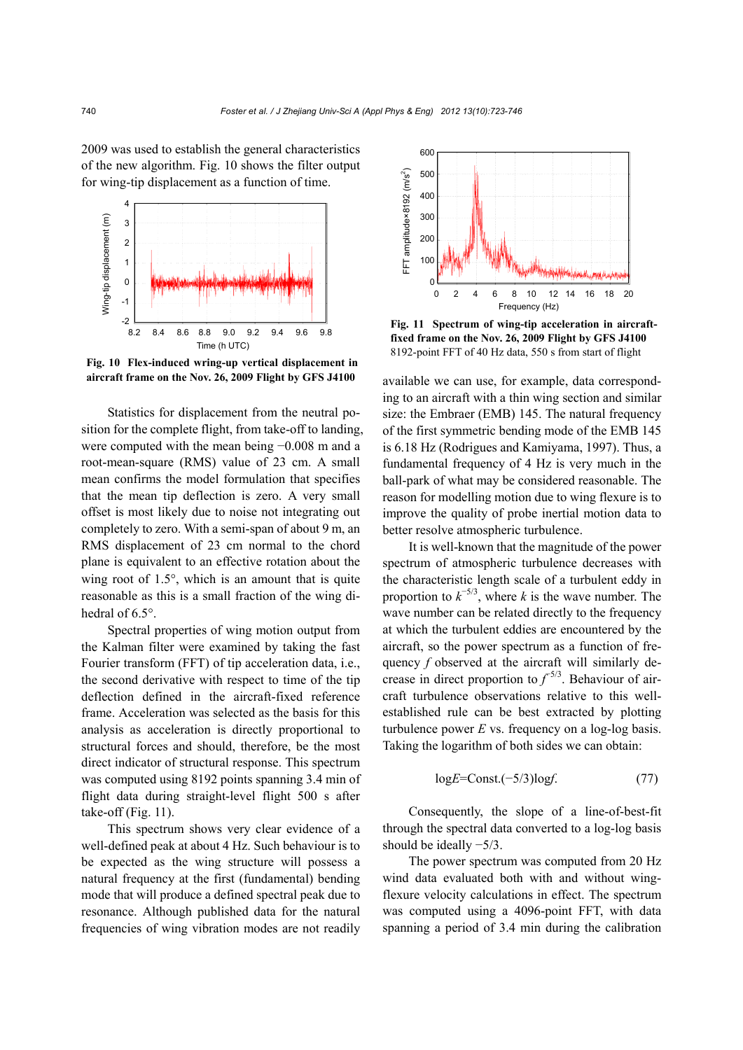2009 was used to establish the general characteristics of the new algorithm. Fig. 10 shows the filter output for wing-tip displacement as a function of time.



 **Fig. 10 Flex-induced wring-up vertical displacement in aircraft frame on the Nov. 26, 2009 Flight by GFS J4100**

Statistics for displacement from the neutral position for the complete flight, from take-off to landing, were computed with the mean being −0.008 m and a root-mean-square (RMS) value of 23 cm. A small mean confirms the model formulation that specifies that the mean tip deflection is zero. A very small offset is most likely due to noise not integrating out completely to zero. With a semi-span of about 9 m, an RMS displacement of 23 cm normal to the chord plane is equivalent to an effective rotation about the wing root of  $1.5^{\circ}$ , which is an amount that is quite reasonable as this is a small fraction of the wing dihedral of  $6.5^\circ$ .

Spectral properties of wing motion output from the Kalman filter were examined by taking the fast Fourier transform (FFT) of tip acceleration data, i.e., the second derivative with respect to time of the tip deflection defined in the aircraft-fixed reference frame. Acceleration was selected as the basis for this analysis as acceleration is directly proportional to structural forces and should, therefore, be the most direct indicator of structural response. This spectrum was computed using 8192 points spanning 3.4 min of flight data during straight-level flight 500 s after take-off (Fig.  $11$ ).

This spectrum shows very clear evidence of a well-defined peak at about 4 Hz. Such behaviour is to be expected as the wing structure will possess a natural frequency at the first (fundamental) bending mode that will produce a defined spectral peak due to resonance. Although published data for the natural frequencies of wing vibration modes are not readily



**Fig. 11 Spectrum of wing-tip acceleration in aircraftfixed frame on the Nov. 26, 2009 Flight by GFS J4100** 8192-point FFT of 40 Hz data, 550 s from start of flight

available we can use, for example, data corresponding to an aircraft with a thin wing section and similar size: the Embraer (EMB) 145. The natural frequency of the first symmetric bending mode of the EMB 145 is 6.18 Hz (Rodrigues and Kamiyama, 1997). Thus, a fundamental frequency of 4 Hz is very much in the ball-park of what may be considered reasonable. The reason for modelling motion due to wing flexure is to improve the quality of probe inertial motion data to better resolve atmospheric turbulence.

It is well-known that the magnitude of the power spectrum of atmospheric turbulence decreases with the characteristic length scale of a turbulent eddy in proportion to  $k^{-5/3}$ , where *k* is the wave number. The wave number can be related directly to the frequency at which the turbulent eddies are encountered by the aircraft, so the power spectrum as a function of frequency *f* observed at the aircraft will similarly decrease in direct proportion to  $f<sup>-5/3</sup>$ . Behaviour of aircraft turbulence observations relative to this wellestablished rule can be best extracted by plotting turbulence power  $E$  vs. frequency on a log-log basis. Taking the logarithm of both sides we can obtain:

$$
logE = Const.(-5/3)logf.
$$
 (77)

Consequently, the slope of a line-of-best-fit through the spectral data converted to a log-log basis should be ideally  $-5/3$ .

The power spectrum was computed from 20 Hz wind data evaluated both with and without wingflexure velocity calculations in effect. The spectrum was computed using a 4096-point FFT, with data spanning a period of 3.4 min during the calibration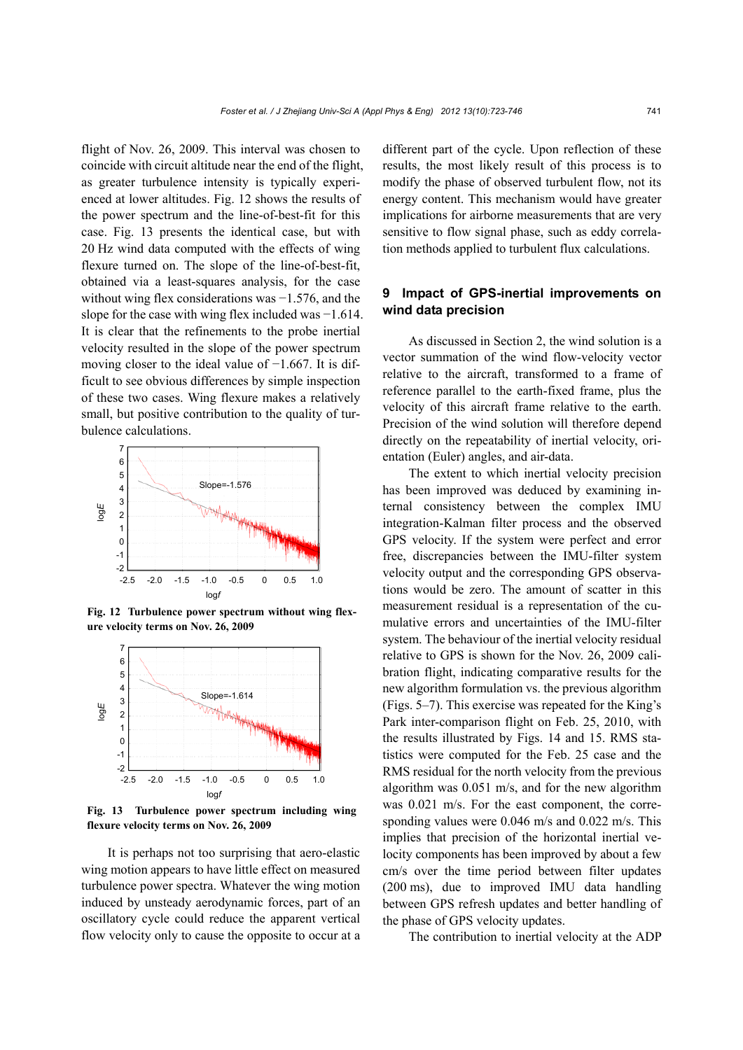flight of Nov. 26, 2009. This interval was chosen to coincide with circuit altitude near the end of the flight, as greater turbulence intensity is typically experienced at lower altitudes. Fig. 12 shows the results of the power spectrum and the line-of-best-fit for this case. Fig. 13 presents the identical case, but with 20 Hz wind data computed with the effects of wing flexure turned on. The slope of the line-of-best-fit, obtained via a least-squares analysis, for the case without wing flex considerations was −1.576, and the slope for the case with wing flex included was −1.614. It is clear that the refinements to the probe inertial velocity resulted in the slope of the power spectrum moving closer to the ideal value of −1.667. It is difficult to see obvious differences by simple inspection of these two cases. Wing flexure makes a relatively small, but positive contribution to the quality of turbulence calculations.



**Fig. 12 Turbulence power spectrum without wing flexure velocity terms on Nov. 26, 2009** 



**Fig. 13 Turbulence power spectrum including wing flexure velocity terms on Nov. 26, 2009** 

It is perhaps not too surprising that aero-elastic wing motion appears to have little effect on measured turbulence power spectra. Whatever the wing motion induced by unsteady aerodynamic forces, part of an oscillatory cycle could reduce the apparent vertical flow velocity only to cause the opposite to occur at a

different part of the cycle. Upon reflection of these results, the most likely result of this process is to modify the phase of observed turbulent flow, not its energy content. This mechanism would have greater implications for airborne measurements that are very sensitive to flow signal phase, such as eddy correlation methods applied to turbulent flux calculations.

# **9 Impact of GPS-inertial improvements on wind data precision**

As discussed in Section 2, the wind solution is a vector summation of the wind flow-velocity vector relative to the aircraft, transformed to a frame of reference parallel to the earth-fixed frame, plus the velocity of this aircraft frame relative to the earth. Precision of the wind solution will therefore depend directly on the repeatability of inertial velocity, orientation (Euler) angles, and air-data.

The extent to which inertial velocity precision has been improved was deduced by examining internal consistency between the complex IMU integration-Kalman filter process and the observed GPS velocity. If the system were perfect and error free, discrepancies between the IMU-filter system velocity output and the corresponding GPS observations would be zero. The amount of scatter in this measurement residual is a representation of the cumulative errors and uncertainties of the IMU-filter system. The behaviour of the inertial velocity residual relative to GPS is shown for the Nov. 26, 2009 calibration flight, indicating comparative results for the new algorithm formulation vs. the previous algorithm (Figs. 5–7). This exercise was repeated for the King's Park inter-comparison flight on Feb. 25, 2010, with the results illustrated by Figs. 14 and 15. RMS statistics were computed for the Feb. 25 case and the RMS residual for the north velocity from the previous algorithm was 0.051 m/s, and for the new algorithm was 0.021 m/s. For the east component, the corresponding values were 0.046 m/s and 0.022 m/s. This implies that precision of the horizontal inertial velocity components has been improved by about a few cm/s over the time period between filter updates (200 ms), due to improved IMU data handling between GPS refresh updates and better handling of the phase of GPS velocity updates.

The contribution to inertial velocity at the ADP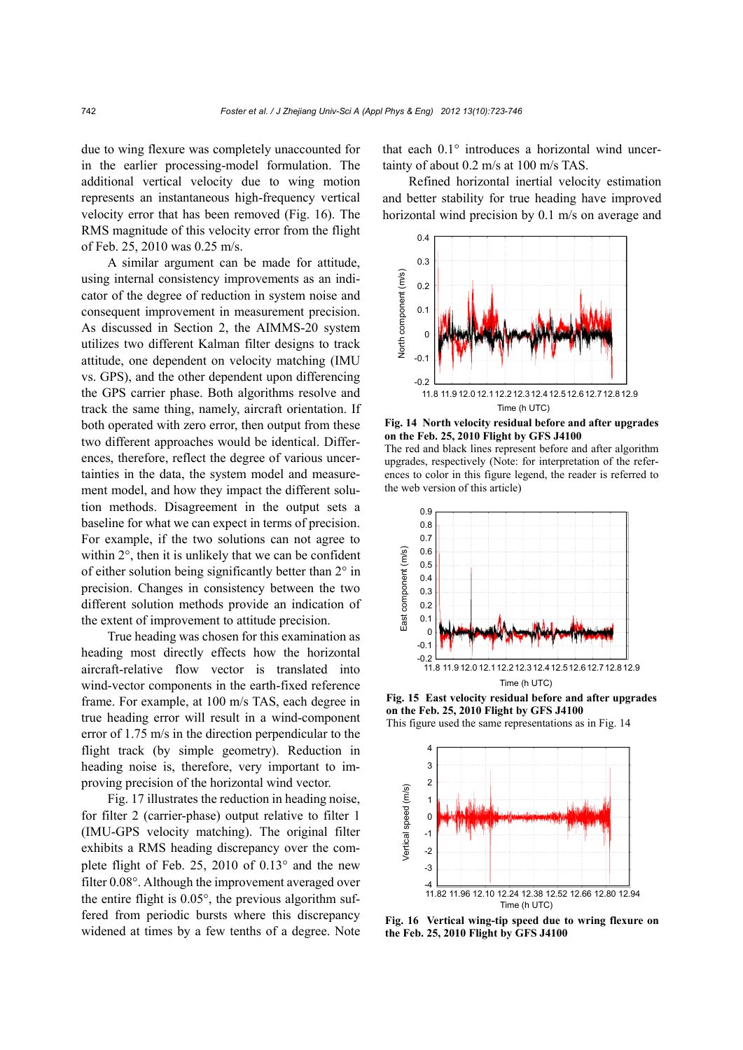due to wing flexure was completely unaccounted for in the earlier processing-model formulation. The additional vertical velocity due to wing motion represents an instantaneous high-frequency vertical velocity error that has been removed (Fig. 16). The RMS magnitude of this velocity error from the flight of Feb. 25, 2010 was 0.25 m/s.

A similar argument can be made for attitude, using internal consistency improvements as an indicator of the degree of reduction in system noise and consequent improvement in measurement precision. As discussed in Section 2, the AIMMS-20 system utilizes two different Kalman filter designs to track attitude, one dependent on velocity matching (IMU vs. GPS), and the other dependent upon differencing the GPS carrier phase. Both algorithms resolve and track the same thing, namely, aircraft orientation. If both operated with zero error, then output from these two different approaches would be identical. Differences, therefore, reflect the degree of various uncertainties in the data, the system model and measurement model, and how they impact the different solution methods. Disagreement in the output sets a baseline for what we can expect in terms of precision. For example, if the two solutions can not agree to within 2°, then it is unlikely that we can be confident of either solution being significantly better than 2° in precision. Changes in consistency between the two different solution methods provide an indication of the extent of improvement to attitude precision.

True heading was chosen for this examination as heading most directly effects how the horizontal aircraft-relative flow vector is translated into wind-vector components in the earth-fixed reference frame. For example, at 100 m/s TAS, each degree in true heading error will result in a wind-component error of 1.75 m/s in the direction perpendicular to the flight track (by simple geometry). Reduction in heading noise is, therefore, very important to improving precision of the horizontal wind vector.

Fig. 17 illustrates the reduction in heading noise, for filter 2 (carrier-phase) output relative to filter 1 (IMU-GPS velocity matching). The original filter exhibits a RMS heading discrepancy over the complete flight of Feb. 25, 2010 of  $0.13^\circ$  and the new filter  $0.08^\circ$ . Although the improvement averaged over the entire flight is 0.05°, the previous algorithm suffered from periodic bursts where this discrepancy widened at times by a few tenths of a degree. Note that each 0.1° introduces a horizontal wind uncertainty of about 0.2 m/s at 100 m/s TAS.

Refined horizontal inertial velocity estimation and better stability for true heading have improved horizontal wind precision by 0.1 m/s on average and



**Fig. 14 North velocity residual before and after upgrades on the Feb. 25, 2010 Flight by GFS J4100** 

The red and black lines represent before and after algorithm upgrades, respectively (Note: for interpretation of the references to color in this figure legend, the reader is referred to the web version of this article)



**Fig. 15 East velocity residual before and after upgrades on the Feb. 25, 2010 Flight by GFS J4100** 

This figure used the same representations as in Fig. 14



**Fig. 16 Vertical wing-tip speed due to wring flexure on the Feb. 25, 2010 Flight by GFS J4100**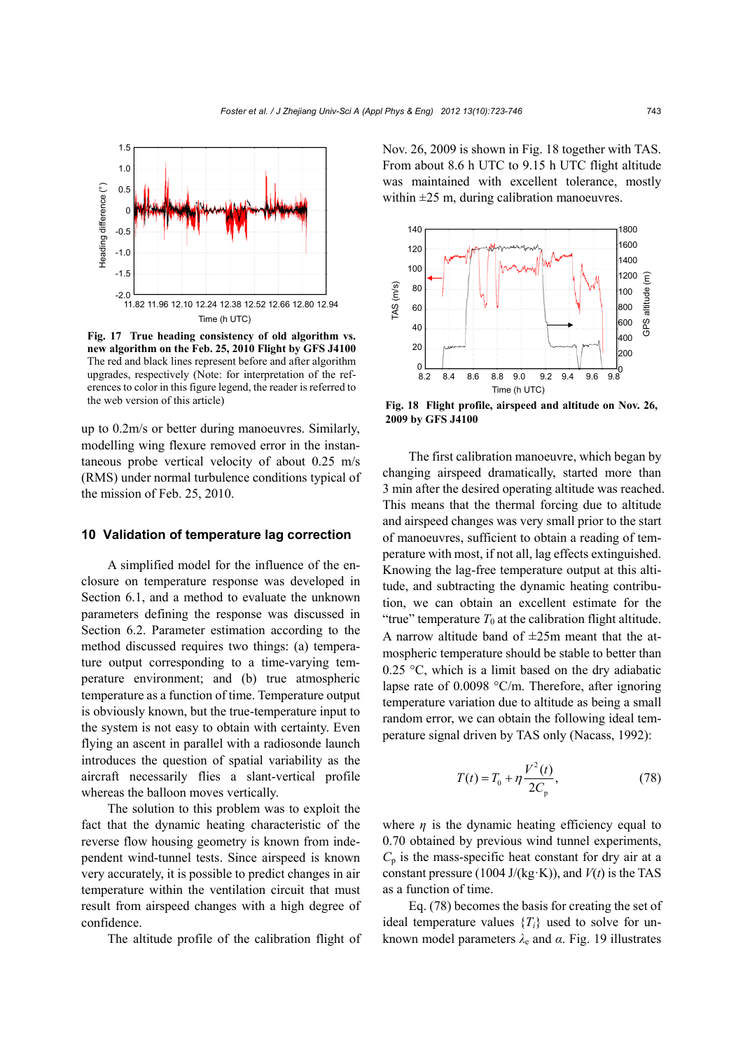

**Fig. 17 True heading consistency of old algorithm vs. new algorithm on the Feb. 25, 2010 Flight by GFS J4100** The red and black lines represent before and after algorithm upgrades, respectively (Note: for interpretation of the references to color in this figure legend, the reader is referred to the web version of this article)

up to 0.2m/s or better during manoeuvres. Similarly, modelling wing flexure removed error in the instantaneous probe vertical velocity of about 0.25 m/s (RMS) under normal turbulence conditions typical of the mission of Feb. 25, 2010.

#### **10 Validation of temperature lag correction**

A simplified model for the influence of the enclosure on temperature response was developed in Section 6.1, and a method to evaluate the unknown parameters defining the response was discussed in Section 6.2. Parameter estimation according to the method discussed requires two things: (a) temperature output corresponding to a time-varying temperature environment; and (b) true atmospheric temperature as a function of time. Temperature output is obviously known, but the true-temperature input to the system is not easy to obtain with certainty. Even flying an ascent in parallel with a radiosonde launch introduces the question of spatial variability as the aircraft necessarily flies a slant-vertical profile whereas the balloon moves vertically.

The solution to this problem was to exploit the fact that the dynamic heating characteristic of the reverse flow housing geometry is known from independent wind-tunnel tests. Since airspeed is known very accurately, it is possible to predict changes in air temperature within the ventilation circuit that must result from airspeed changes with a high degree of confidence.

The altitude profile of the calibration flight of

Nov. 26, 2009 is shown in Fig. 18 together with TAS. From about 8.6 h UTC to 9.15 h UTC flight altitude was maintained with excellent tolerance, mostly within  $\pm 25$  m, during calibration manoeuvres.



**Fig. 18 Flight profile, airspeed and altitude on Nov. 26, 2009 by GFS J4100** 

The first calibration manoeuvre, which began by changing airspeed dramatically, started more than 3 min after the desired operating altitude was reached. This means that the thermal forcing due to altitude and airspeed changes was very small prior to the start of manoeuvres, sufficient to obtain a reading of temperature with most, if not all, lag effects extinguished. Knowing the lag-free temperature output at this altitude, and subtracting the dynamic heating contribution, we can obtain an excellent estimate for the "true" temperature  $T_0$  at the calibration flight altitude. A narrow altitude band of  $\pm 25$ m meant that the atmospheric temperature should be stable to better than 0.25 °C, which is a limit based on the dry adiabatic lapse rate of 0.0098 °C/m. Therefore, after ignoring temperature variation due to altitude as being a small random error, we can obtain the following ideal temperature signal driven by TAS only (Nacass, 1992):

$$
T(t) = T_0 + \eta \frac{V^2(t)}{2C_p},
$$
\n(78)

where  $\eta$  is the dynamic heating efficiency equal to 0.70 obtained by previous wind tunnel experiments,  $C_p$  is the mass-specific heat constant for dry air at a constant pressure (1004 J/(kg·K)), and *V*(*t*) is the TAS as a function of time.

Eq. (78) becomes the basis for creating the set of ideal temperature values  ${T_i}$  used to solve for unknown model parameters *λ*e and *α*. Fig. 19 illustrates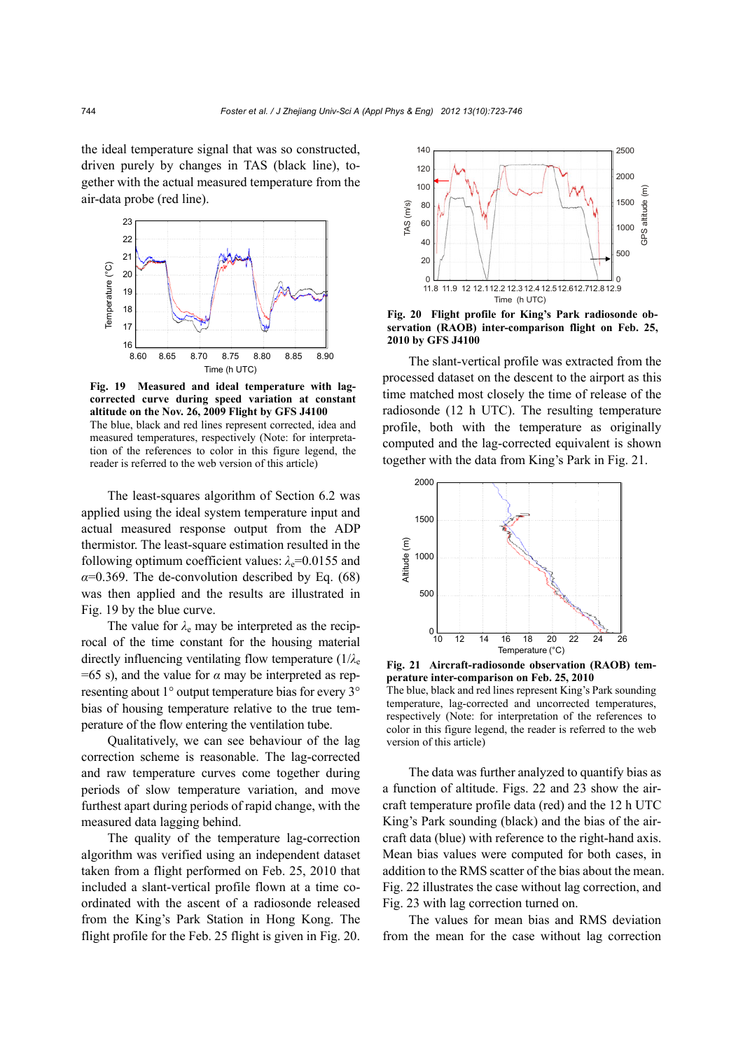the ideal temperature signal that was so constructed, driven purely by changes in TAS (black line), together with the actual measured temperature from the air-data probe (red line).



**Fig. 19 Measured and ideal temperature with lagcorrected curve during speed variation at constant altitude on the Nov. 26, 2009 Flight by GFS J4100**  The blue, black and red lines represent corrected, idea and measured temperatures, respectively (Note: for interpretation of the references to color in this figure legend, the reader is referred to the web version of this article)

The least-squares algorithm of Section 6.2 was applied using the ideal system temperature input and actual measured response output from the ADP thermistor. The least-square estimation resulted in the following optimum coefficient values:  $\lambda_e$ =0.0155 and  $\alpha$ =0.369. The de-convolution described by Eq. (68) was then applied and the results are illustrated in Fig. 19 by the blue curve.

The value for  $\lambda_e$  may be interpreted as the reciprocal of the time constant for the housing material directly influencing ventilating flow temperature (1/*λ*<sup>e</sup>  $=65$  s), and the value for  $\alpha$  may be interpreted as representing about  $1^{\circ}$  output temperature bias for every  $3^{\circ}$ bias of housing temperature relative to the true temperature of the flow entering the ventilation tube.

Qualitatively, we can see behaviour of the lag correction scheme is reasonable. The lag-corrected and raw temperature curves come together during periods of slow temperature variation, and move furthest apart during periods of rapid change, with the measured data lagging behind.

The quality of the temperature lag-correction algorithm was verified using an independent dataset taken from a flight performed on Feb. 25, 2010 that included a slant-vertical profile flown at a time coordinated with the ascent of a radiosonde released from the King's Park Station in Hong Kong. The flight profile for the Feb. 25 flight is given in Fig. 20.



**Fig. 20 Flight profile for King's Park radiosonde observation (RAOB) inter-comparison flight on Feb. 25, 2010 by GFS J4100**

The slant-vertical profile was extracted from the processed dataset on the descent to the airport as this time matched most closely the time of release of the radiosonde (12 h UTC). The resulting temperature profile, both with the temperature as originally computed and the lag-corrected equivalent is shown together with the data from King's Park in Fig. 21.



**Fig. 21 Aircraft-radiosonde observation (RAOB) temperature inter-comparison on Feb. 25, 2010** 

The blue, black and red lines represent King's Park sounding temperature, lag-corrected and uncorrected temperatures, respectively (Note: for interpretation of the references to color in this figure legend, the reader is referred to the web version of this article)

The data was further analyzed to quantify bias as a function of altitude. Figs. 22 and 23 show the aircraft temperature profile data (red) and the 12 h UTC King's Park sounding (black) and the bias of the aircraft data (blue) with reference to the right-hand axis. Mean bias values were computed for both cases, in addition to the RMS scatter of the bias about the mean. Fig. 22 illustrates the case without lag correction, and Fig. 23 with lag correction turned on.

The values for mean bias and RMS deviation from the mean for the case without lag correction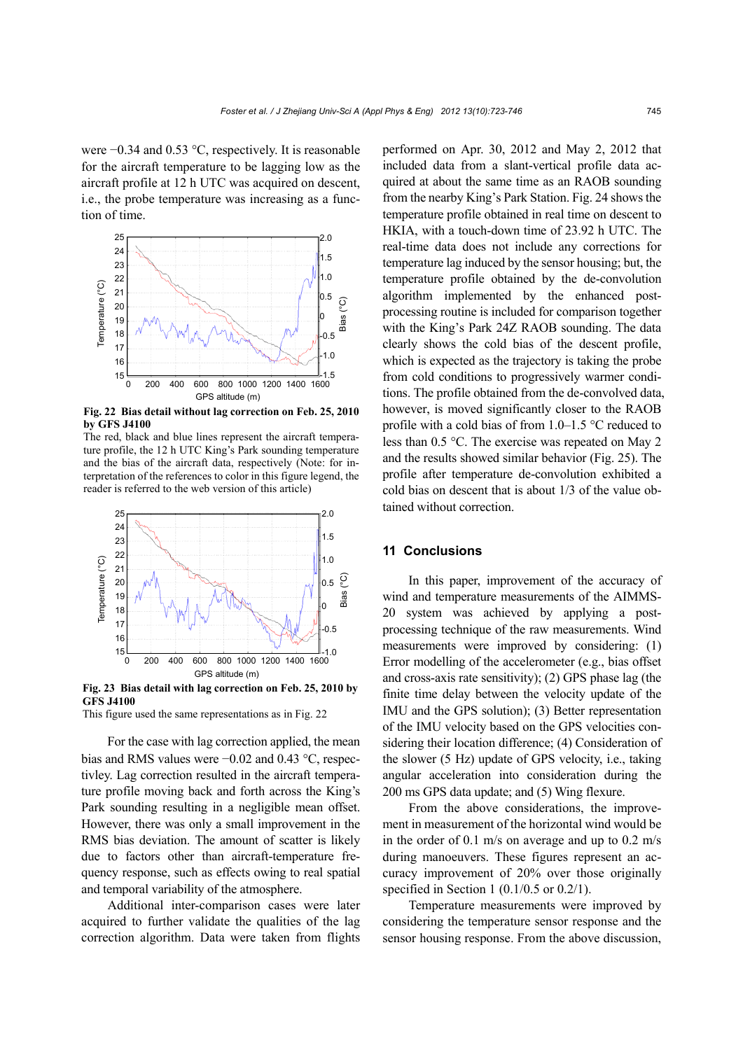were  $-0.34$  and 0.53 °C, respectively. It is reasonable for the aircraft temperature to be lagging low as the aircraft profile at 12 h UTC was acquired on descent, i.e., the probe temperature was increasing as a function of time.



**Fig. 22 Bias detail without lag correction on Feb. 25, 2010 by GFS J4100** 

The red, black and blue lines represent the aircraft temperature profile, the 12 h UTC King's Park sounding temperature and the bias of the aircraft data, respectively (Note: for interpretation of the references to color in this figure legend, the reader is referred to the web version of this article)



**Fig. 23 Bias detail with lag correction on Feb. 25, 2010 by GFS J4100** 

This figure used the same representations as in Fig. 22

For the case with lag correction applied, the mean bias and RMS values were  $-0.02$  and 0.43 °C, respectivley. Lag correction resulted in the aircraft temperature profile moving back and forth across the King's Park sounding resulting in a negligible mean offset. However, there was only a small improvement in the RMS bias deviation. The amount of scatter is likely due to factors other than aircraft-temperature frequency response, such as effects owing to real spatial and temporal variability of the atmosphere.

Additional inter-comparison cases were later acquired to further validate the qualities of the lag correction algorithm. Data were taken from flights

performed on Apr. 30, 2012 and May 2, 2012 that included data from a slant-vertical profile data acquired at about the same time as an RAOB sounding from the nearby King's Park Station. Fig. 24 shows the temperature profile obtained in real time on descent to HKIA, with a touch-down time of 23.92 h UTC. The real-time data does not include any corrections for temperature lag induced by the sensor housing; but, the temperature profile obtained by the de-convolution algorithm implemented by the enhanced postprocessing routine is included for comparison together with the King's Park 24Z RAOB sounding. The data clearly shows the cold bias of the descent profile, which is expected as the trajectory is taking the probe from cold conditions to progressively warmer conditions. The profile obtained from the de-convolved data, however, is moved significantly closer to the RAOB profile with a cold bias of from 1.0–1.5 °C reduced to less than 0.5 °C. The exercise was repeated on May 2 and the results showed similar behavior (Fig. 25). The profile after temperature de-convolution exhibited a cold bias on descent that is about 1/3 of the value obtained without correction.

# **11 Conclusions**

In this paper, improvement of the accuracy of wind and temperature measurements of the AIMMS-20 system was achieved by applying a postprocessing technique of the raw measurements. Wind measurements were improved by considering: (1) Error modelling of the accelerometer (e.g., bias offset and cross-axis rate sensitivity); (2) GPS phase lag (the finite time delay between the velocity update of the IMU and the GPS solution); (3) Better representation of the IMU velocity based on the GPS velocities considering their location difference; (4) Consideration of the slower (5 Hz) update of GPS velocity, i.e., taking angular acceleration into consideration during the 200 ms GPS data update; and (5) Wing flexure.

From the above considerations, the improvement in measurement of the horizontal wind would be in the order of 0.1 m/s on average and up to 0.2 m/s during manoeuvers. These figures represent an accuracy improvement of 20% over those originally specified in Section 1 (0.1/0.5 or 0.2/1).

Temperature measurements were improved by considering the temperature sensor response and the sensor housing response. From the above discussion,